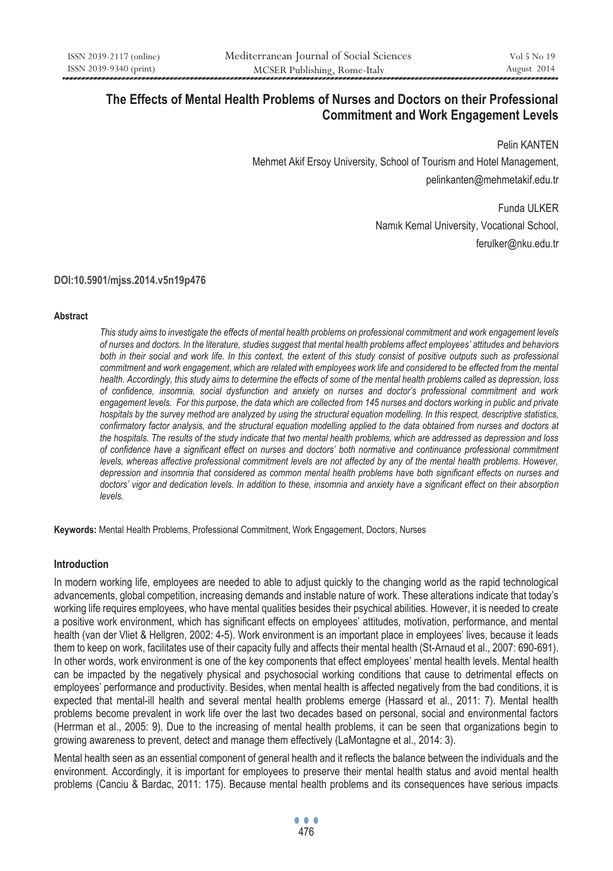# **The Effects of Mental Health Problems of Nurses and Doctors on their Professional Commitment and Work Engagement Levels**

Pelin KANTEN Mehmet Akif Ersoy University, School of Tourism and Hotel Management, pelinkanten@mehmetakif.edu.tr

> Funda ULKER Namık Kemal University, Vocational School, ferulker@nku.edu.tr

#### **DOI:10.5901/mjss.2014.v5n19p476**

#### **Abstract**

*This study aims to investigate the effects of mental health problems on professional commitment and work engagement levels of nurses and doctors. In the literature, studies suggest that mental health problems affect employees' attitudes and behaviors* both in their social and work life. In this context, the extent of this study consist of positive outputs such as professional *commitment and work engagement, which are related with employees work life and considered to be effected from the mental health. Accordingly, this study aims to determine the effects of some of the mental health problems called as depression, loss of confidence, insomnia, social dysfunction and anxiety on nurses and doctor's professional commitment and work engagement levels. For this purpose, the data which are collected from 145 nurses and doctors working in public and private hospitals by the survey method are analyzed by using the structural equation modelling. In this respect, descriptive statistics, confirmatory factor analysis, and the structural equation modelling applied to the data obtained from nurses and doctors at the hospitals. The results of the study indicate that two mental health problems, which are addressed as depression and loss of confidence have a significant effect on nurses and doctors' both normative and continuance professional commitment levels, whereas affective professional commitment levels are not affected by any of the mental health problems. However, depression and insomnia that considered as common mental health problems have both significant effects on nurses and doctors' vigor and dedication levels. In addition to these, insomnia and anxiety have a significant effect on their absorption levels.* 

**Keywords:** Mental Health Problems, Professional Commitment, Work Engagement, Doctors, Nurses

#### **Introduction**

In modern working life, employees are needed to able to adjust quickly to the changing world as the rapid technological advancements, global competition, increasing demands and instable nature of work. These alterations indicate that today's working life requires employees, who have mental qualities besides their psychical abilities. However, it is needed to create a positive work environment, which has significant effects on employees' attitudes, motivation, performance, and mental health (van der Vliet & Hellgren, 2002: 4-5). Work environment is an important place in employees' lives, because it leads them to keep on work, facilitates use of their capacity fully and affects their mental health (St-Arnaud et al., 2007: 690-691). In other words, work environment is one of the key components that effect employees' mental health levels. Mental health can be impacted by the negatively physical and psychosocial working conditions that cause to detrimental effects on employees' performance and productivity. Besides, when mental health is affected negatively from the bad conditions, it is expected that mental-ill health and several mental health problems emerge (Hassard et al., 2011: 7). Mental health problems become prevalent in work life over the last two decades based on personal, social and environmental factors (Herrman et al., 2005: 9). Due to the increasing of mental health problems, it can be seen that organizations begin to growing awareness to prevent, detect and manage them effectively (LaMontagne et al., 2014: 3).

Mental health seen as an essential component of general health and it reflects the balance between the individuals and the environment. Accordingly, it is important for employees to preserve their mental health status and avoid mental health problems (Canciu & Bardac, 2011: 175). Because mental health problems and its consequences have serious impacts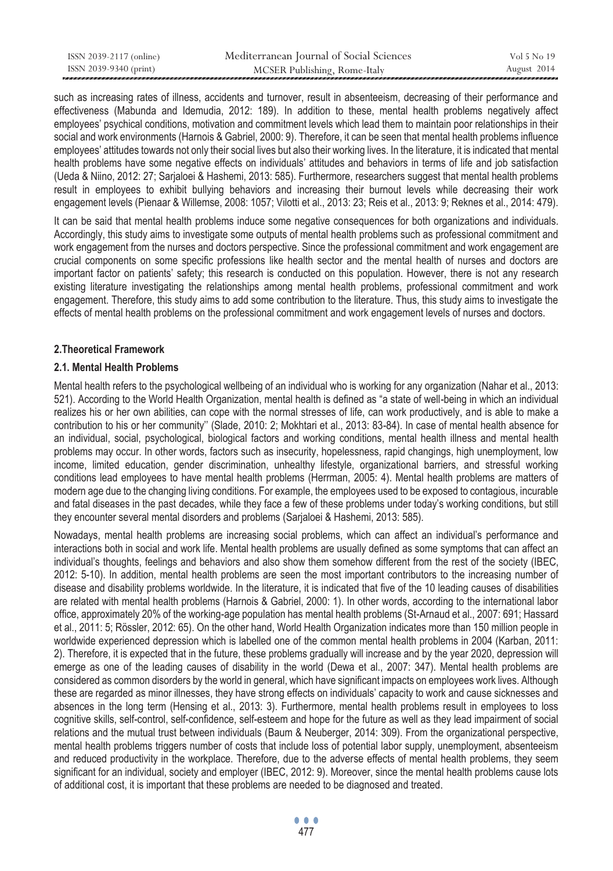| ISSN 2039-2117 (online) | Mediterranean Journal of Social Sciences | Vol 5 No 19 |
|-------------------------|------------------------------------------|-------------|
| ISSN 2039-9340 (print)  | MCSER Publishing, Rome-Italy             | August 2014 |

such as increasing rates of illness, accidents and turnover, result in absenteeism, decreasing of their performance and effectiveness (Mabunda and Idemudia, 2012: 189). In addition to these, mental health problems negatively affect employees' psychical conditions, motivation and commitment levels which lead them to maintain poor relationships in their social and work environments (Harnois & Gabriel, 2000: 9). Therefore, it can be seen that mental health problems influence employees' attitudes towards not only their social lives but also their working lives. In the literature, it is indicated that mental health problems have some negative effects on individuals' attitudes and behaviors in terms of life and job satisfaction (Ueda & Niino, 2012: 27; Sarjaloei & Hashemi, 2013: 585). Furthermore, researchers suggest that mental health problems result in employees to exhibit bullying behaviors and increasing their burnout levels while decreasing their work engagement levels (Pienaar & Willemse, 2008: 1057; Vilotti et al., 2013: 23; Reis et al., 2013: 9; Reknes et al., 2014: 479).

It can be said that mental health problems induce some negative consequences for both organizations and individuals. Accordingly, this study aims to investigate some outputs of mental health problems such as professional commitment and work engagement from the nurses and doctors perspective. Since the professional commitment and work engagement are crucial components on some specific professions like health sector and the mental health of nurses and doctors are important factor on patients' safety; this research is conducted on this population. However, there is not any research existing literature investigating the relationships among mental health problems, professional commitment and work engagement. Therefore, this study aims to add some contribution to the literature. Thus, this study aims to investigate the effects of mental health problems on the professional commitment and work engagement levels of nurses and doctors.

### **2.Theoretical Framework**

### **2.1. Mental Health Problems**

Mental health refers to the psychological wellbeing of an individual who is working for any organization (Nahar et al., 2013: 521). According to the World Health Organization, mental health is defined as "a state of well-being in which an individual realizes his or her own abilities, can cope with the normal stresses of life, can work productively, and is able to make a contribution to his or her community'' (Slade, 2010: 2; Mokhtari et al., 2013: 83-84). In case of mental health absence for an individual, social, psychological, biological factors and working conditions, mental health illness and mental health problems may occur. In other words, factors such as insecurity, hopelessness, rapid changings, high unemployment, low income, limited education, gender discrimination, unhealthy lifestyle, organizational barriers, and stressful working conditions lead employees to have mental health problems (Herrman, 2005: 4). Mental health problems are matters of modern age due to the changing living conditions. For example, the employees used to be exposed to contagious, incurable and fatal diseases in the past decades, while they face a few of these problems under today's working conditions, but still they encounter several mental disorders and problems (Sarjaloei & Hashemi, 2013: 585).

Nowadays, mental health problems are increasing social problems, which can affect an individual's performance and interactions both in social and work life. Mental health problems are usually defined as some symptoms that can affect an individual's thoughts, feelings and behaviors and also show them somehow different from the rest of the society (IBEC, 2012: 5-10). In addition, mental health problems are seen the most important contributors to the increasing number of disease and disability problems worldwide. In the literature, it is indicated that five of the 10 leading causes of disabilities are related with mental health problems (Harnois & Gabriel, 2000: 1). In other words, according to the international labor office, approximately 20% of the working-age population has mental health problems (St-Arnaud et al., 2007: 691; Hassard et al., 2011: 5; Rössler, 2012: 65). On the other hand, World Health Organization indicates more than 150 million people in worldwide experienced depression which is labelled one of the common mental health problems in 2004 (Karban, 2011: 2). Therefore, it is expected that in the future, these problems gradually will increase and by the year 2020, depression will emerge as one of the leading causes of disability in the world (Dewa et al., 2007: 347). Mental health problems are considered as common disorders by the world in general, which have significant impacts on employees work lives. Although these are regarded as minor illnesses, they have strong effects on individuals' capacity to work and cause sicknesses and absences in the long term (Hensing et al., 2013: 3). Furthermore, mental health problems result in employees to loss cognitive skills, self-control, self-confidence, self-esteem and hope for the future as well as they lead impairment of social relations and the mutual trust between individuals (Baum & Neuberger, 2014: 309). From the organizational perspective, mental health problems triggers number of costs that include loss of potential labor supply, unemployment, absenteeism and reduced productivity in the workplace. Therefore, due to the adverse effects of mental health problems, they seem significant for an individual, society and employer (IBEC, 2012: 9). Moreover, since the mental health problems cause lots of additional cost, it is important that these problems are needed to be diagnosed and treated.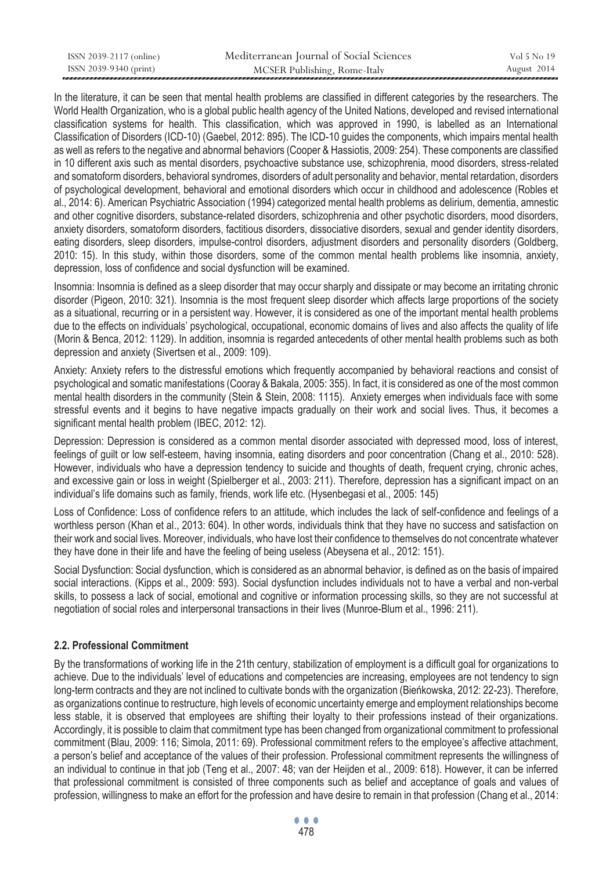| ISSN 2039-2117 (online) | Mediterranean Journal of Social Sciences | Vol 5 No 19 |
|-------------------------|------------------------------------------|-------------|
| ISSN 2039-9340 (print)  | MCSER Publishing, Rome-Italy             | August 2014 |

In the literature, it can be seen that mental health problems are classified in different categories by the researchers. The World Health Organization, who is a global public health agency of the United Nations, developed and revised international classification systems for health. This classification, which was approved in 1990, is labelled as an International Classification of Disorders (ICD-10) (Gaebel, 2012: 895). The ICD-10 guides the components, which impairs mental health as well as refers to the negative and abnormal behaviors (Cooper & Hassiotis, 2009: 254). These components are classified in 10 different axis such as mental disorders, psychoactive substance use, schizophrenia, mood disorders, stress-related and somatoform disorders, behavioral syndromes, disorders of adult personality and behavior, mental retardation, disorders of psychological development, behavioral and emotional disorders which occur in childhood and adolescence (Robles et al., 2014: 6). American Psychiatric Association (1994) categorized mental health problems as delirium, dementia, amnestic and other cognitive disorders, substance-related disorders, schizophrenia and other psychotic disorders, mood disorders, anxiety disorders, somatoform disorders, factitious disorders, dissociative disorders, sexual and gender identity disorders, eating disorders, sleep disorders, impulse-control disorders, adjustment disorders and personality disorders (Goldberg, 2010: 15). In this study, within those disorders, some of the common mental health problems like insomnia, anxiety, depression, loss of confidence and social dysfunction will be examined.

Insomnia: Insomnia is defined as a sleep disorder that may occur sharply and dissipate or may become an irritating chronic disorder (Pigeon, 2010: 321). Insomnia is the most frequent sleep disorder which affects large proportions of the society as a situational, recurring or in a persistent way. However, it is considered as one of the important mental health problems due to the effects on individuals' psychological, occupational, economic domains of lives and also affects the quality of life (Morin & Benca, 2012: 1129). In addition, insomnia is regarded antecedents of other mental health problems such as both depression and anxiety (Sivertsen et al., 2009: 109).

Anxiety: Anxiety refers to the distressful emotions which frequently accompanied by behavioral reactions and consist of psychological and somatic manifestations (Cooray & Bakala, 2005: 355). In fact, it is considered as one of the most common mental health disorders in the community (Stein & Stein, 2008: 1115). Anxiety emerges when individuals face with some stressful events and it begins to have negative impacts gradually on their work and social lives. Thus, it becomes a significant mental health problem (IBEC, 2012: 12).

Depression: Depression is considered as a common mental disorder associated with depressed mood, loss of interest, feelings of guilt or low self-esteem, having insomnia, eating disorders and poor concentration (Chang et al., 2010: 528). However, individuals who have a depression tendency to suicide and thoughts of death, frequent crying, chronic aches, and excessive gain or loss in weight (Spielberger et al., 2003: 211). Therefore, depression has a significant impact on an individual's life domains such as family, friends, work life etc. (Hysenbegasi et al., 2005: 145)

Loss of Confidence: Loss of confidence refers to an attitude, which includes the lack of self-confidence and feelings of a worthless person (Khan et al., 2013: 604). In other words, individuals think that they have no success and satisfaction on their work and social lives. Moreover, individuals, who have lost their confidence to themselves do not concentrate whatever they have done in their life and have the feeling of being useless (Abeysena et al., 2012: 151).

Social Dysfunction: Social dysfunction, which is considered as an abnormal behavior, is defined as on the basis of impaired social interactions. (Kipps et al., 2009: 593). Social dysfunction includes individuals not to have a verbal and non-verbal skills, to possess a lack of social, emotional and cognitive or information processing skills, so they are not successful at negotiation of social roles and interpersonal transactions in their lives (Munroe-Blum et al., 1996: 211).

### **2.2. Professional Commitment**

By the transformations of working life in the 21th century, stabilization of employment is a difficult goal for organizations to achieve. Due to the individuals' level of educations and competencies are increasing, employees are not tendency to sign long-term contracts and they are not inclined to cultivate bonds with the organization (Bieńkowska, 2012: 22-23). Therefore, as organizations continue to restructure, high levels of economic uncertainty emerge and employment relationships become less stable, it is observed that employees are shifting their loyalty to their professions instead of their organizations. Accordingly, it is possible to claim that commitment type has been changed from organizational commitment to professional commitment (Blau, 2009: 116; Simola, 2011: 69). Professional commitment refers to the employee's affective attachment, a person's belief and acceptance of the values of their profession. Professional commitment represents the willingness of an individual to continue in that job (Teng et al., 2007: 48; van der Heijden et al., 2009: 618). However, it can be inferred that professional commitment is consisted of three components such as belief and acceptance of goals and values of profession, willingness to make an effort for the profession and have desire to remain in that profession (Chang et al., 2014: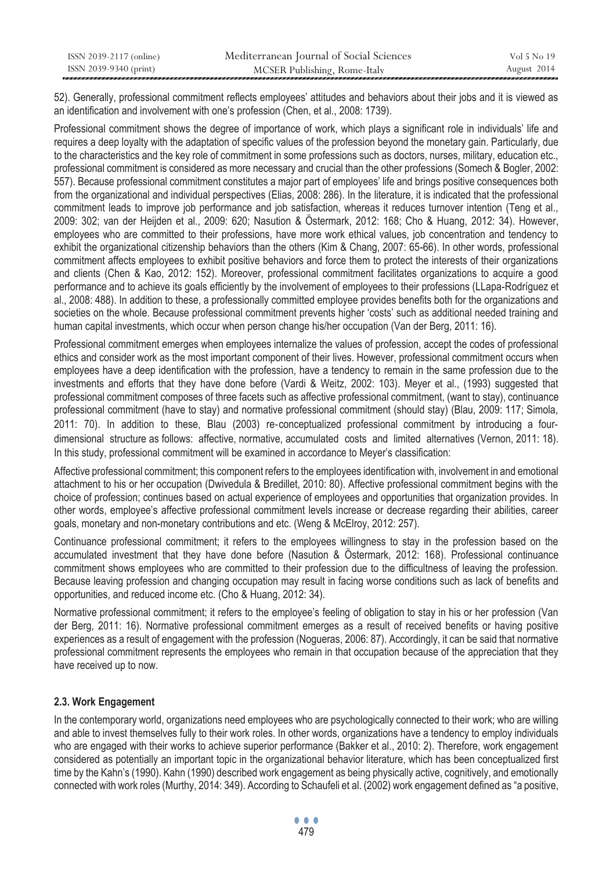| ISSN 2039-2117 (online) | Mediterranean Journal of Social Sciences | Vol 5 No 19 |
|-------------------------|------------------------------------------|-------------|
| ISSN 2039-9340 (print)  | MCSER Publishing, Rome-Italy             | August 2014 |

52). Generally, professional commitment reflects employees' attitudes and behaviors about their jobs and it is viewed as an identification and involvement with one's profession (Chen, et al., 2008: 1739).

Professional commitment shows the degree of importance of work, which plays a significant role in individuals' life and requires a deep loyalty with the adaptation of specific values of the profession beyond the monetary gain. Particularly, due to the characteristics and the key role of commitment in some professions such as doctors, nurses, military, education etc., professional commitment is considered as more necessary and crucial than the other professions (Somech & Bogler, 2002: 557). Because professional commitment constitutes a major part of employees' life and brings positive consequences both from the organizational and individual perspectives (Elias, 2008: 286). In the literature, it is indicated that the professional commitment leads to improve job performance and job satisfaction, whereas it reduces turnover intention (Teng et al., 2009: 302; van der Heijden et al., 2009: 620; Nasution & Östermark, 2012: 168; Cho & Huang, 2012: 34). However, employees who are committed to their professions, have more work ethical values, job concentration and tendency to exhibit the organizational citizenship behaviors than the others (Kim & Chang, 2007: 65-66). In other words, professional commitment affects employees to exhibit positive behaviors and force them to protect the interests of their organizations and clients (Chen & Kao, 2012: 152). Moreover, professional commitment facilitates organizations to acquire a good performance and to achieve its goals efficiently by the involvement of employees to their professions (LLapa-Rodríguez et al., 2008: 488). In addition to these, a professionally committed employee provides benefits both for the organizations and societies on the whole. Because professional commitment prevents higher 'costs' such as additional needed training and human capital investments, which occur when person change his/her occupation (Van der Berg, 2011: 16).

Professional commitment emerges when employees internalize the values of profession, accept the codes of professional ethics and consider work as the most important component of their lives. However, professional commitment occurs when employees have a deep identification with the profession, have a tendency to remain in the same profession due to the investments and efforts that they have done before (Vardi & Weitz, 2002: 103). Meyer et al., (1993) suggested that professional commitment composes of three facets such as affective professional commitment, (want to stay), continuance professional commitment (have to stay) and normative professional commitment (should stay) (Blau, 2009: 117; Simola, 2011: 70). In addition to these, Blau (2003) re-conceptualized professional commitment by introducing a fourdimensional structure as follows: affective, normative, accumulated costs and limited alternatives (Vernon, 2011: 18). In this study, professional commitment will be examined in accordance to Meyer's classification:

Affective professional commitment; this component refers to the employees identification with, involvement in and emotional attachment to his or her occupation (Dwivedula & Bredillet, 2010: 80). Affective professional commitment begins with the choice of profession; continues based on actual experience of employees and opportunities that organization provides. In other words, employee's affective professional commitment levels increase or decrease regarding their abilities, career goals, monetary and non-monetary contributions and etc. (Weng & McElroy, 2012: 257).

Continuance professional commitment; it refers to the employees willingness to stay in the profession based on the accumulated investment that they have done before (Nasution & Östermark, 2012: 168). Professional continuance commitment shows employees who are committed to their profession due to the difficultness of leaving the profession. Because leaving profession and changing occupation may result in facing worse conditions such as lack of benefits and opportunities, and reduced income etc. (Cho & Huang, 2012: 34).

Normative professional commitment; it refers to the employee's feeling of obligation to stay in his or her profession (Van der Berg, 2011: 16). Normative professional commitment emerges as a result of received benefits or having positive experiences as a result of engagement with the profession (Nogueras, 2006: 87). Accordingly, it can be said that normative professional commitment represents the employees who remain in that occupation because of the appreciation that they have received up to now.

## **2.3. Work Engagement**

In the contemporary world, organizations need employees who are psychologically connected to their work; who are willing and able to invest themselves fully to their work roles. In other words, organizations have a tendency to employ individuals who are engaged with their works to achieve superior performance (Bakker et al., 2010: 2). Therefore, work engagement considered as potentially an important topic in the organizational behavior literature, which has been conceptualized first time by the Kahn's (1990). Kahn (1990) described work engagement as being physically active, cognitively, and emotionally connected with work roles (Murthy, 2014: 349). According to Schaufeli et al. (2002) work engagement defined as "a positive,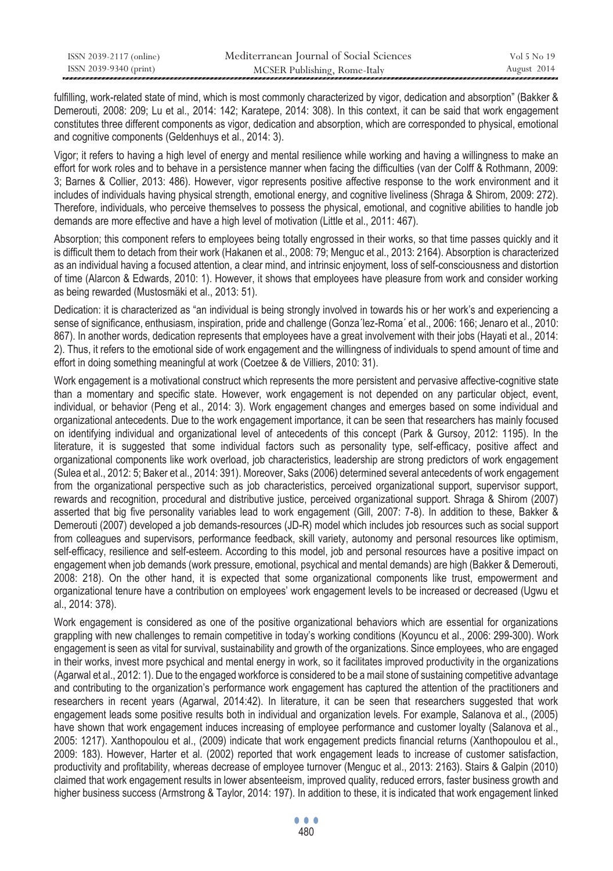| ISSN 2039-2117 (online) | Mediterranean Journal of Social Sciences | Vol 5 No 19 |
|-------------------------|------------------------------------------|-------------|
| ISSN 2039-9340 (print)  | MCSER Publishing, Rome-Italy             | August 2014 |

fulfilling, work-related state of mind, which is most commonly characterized by vigor, dedication and absorption" (Bakker & Demerouti, 2008: 209; Lu et al., 2014: 142; Karatepe, 2014: 308). In this context, it can be said that work engagement constitutes three different components as vigor, dedication and absorption, which are corresponded to physical, emotional and cognitive components (Geldenhuys et al., 2014: 3).

Vigor; it refers to having a high level of energy and mental resilience while working and having a willingness to make an effort for work roles and to behave in a persistence manner when facing the difficulties (van der Colff & Rothmann, 2009: 3; Barnes & Collier, 2013: 486). However, vigor represents positive affective response to the work environment and it includes of individuals having physical strength, emotional energy, and cognitive liveliness (Shraga & Shirom, 2009: 272). Therefore, individuals, who perceive themselves to possess the physical, emotional, and cognitive abilities to handle job demands are more effective and have a high level of motivation (Little et al., 2011: 467).

Absorption; this component refers to employees being totally engrossed in their works, so that time passes quickly and it is difficult them to detach from their work (Hakanen et al., 2008: 79; Menguc et al., 2013: 2164). Absorption is characterized as an individual having a focused attention, a clear mind, and intrinsic enjoyment, loss of self-consciousness and distortion of time (Alarcon & Edwards, 2010: 1). However, it shows that employees have pleasure from work and consider working as being rewarded (Mustosmäki et al., 2013: 51).

Dedication: it is characterized as "an individual is being strongly involved in towards his or her work's and experiencing a sense of significance, enthusiasm, inspiration, pride and challenge (Gonza'lez-Roma' et al., 2006: 166; Jenaro et al., 2010: 867). In another words, dedication represents that employees have a great involvement with their jobs (Hayati et al., 2014: 2). Thus, it refers to the emotional side of work engagement and the willingness of individuals to spend amount of time and effort in doing something meaningful at work (Coetzee & de Villiers, 2010: 31).

Work engagement is a motivational construct which represents the more persistent and pervasive affective-cognitive state than a momentary and specific state. However, work engagement is not depended on any particular object, event, individual, or behavior (Peng et al., 2014: 3). Work engagement changes and emerges based on some individual and organizational antecedents. Due to the work engagement importance, it can be seen that researchers has mainly focused on identifying individual and organizational level of antecedents of this concept (Park & Gursoy, 2012: 1195). In the literature, it is suggested that some individual factors such as personality type, self-efficacy, positive affect and organizational components like work overload, job characteristics, leadership are strong predictors of work engagement (Sulea et al., 2012: 5; Baker et al., 2014: 391). Moreover, Saks (2006) determined several antecedents of work engagement from the organizational perspective such as job characteristics, perceived organizational support, supervisor support, rewards and recognition, procedural and distributive justice, perceived organizational support. Shraga & Shirom (2007) asserted that big five personality variables lead to work engagement (Gill, 2007: 7-8). In addition to these, Bakker & Demerouti (2007) developed a job demands-resources (JD-R) model which includes job resources such as social support from colleagues and supervisors, performance feedback, skill variety, autonomy and personal resources like optimism, self-efficacy, resilience and self-esteem. According to this model, job and personal resources have a positive impact on engagement when job demands (work pressure, emotional, psychical and mental demands) are high (Bakker & Demerouti, 2008: 218). On the other hand, it is expected that some organizational components like trust, empowerment and organizational tenure have a contribution on employees' work engagement levels to be increased or decreased (Ugwu et al., 2014: 378).

Work engagement is considered as one of the positive organizational behaviors which are essential for organizations grappling with new challenges to remain competitive in today's working conditions (Koyuncu et al., 2006: 299-300). Work engagement is seen as vital for survival, sustainability and growth of the organizations. Since employees, who are engaged in their works, invest more psychical and mental energy in work, so it facilitates improved productivity in the organizations (Agarwal et al., 2012: 1). Due to the engaged workforce is considered to be a mail stone of sustaining competitive advantage and contributing to the organization's performance work engagement has captured the attention of the practitioners and researchers in recent years (Agarwal, 2014:42). In literature, it can be seen that researchers suggested that work engagement leads some positive results both in individual and organization levels. For example, Salanova et al., (2005) have shown that work engagement induces increasing of employee performance and customer loyalty (Salanova et al., 2005: 1217). Xanthopoulou et al., (2009) indicate that work engagement predicts financial returns (Xanthopoulou et al., 2009: 183). However, Harter et al. (2002) reported that work engagement leads to increase of customer satisfaction, productivity and profitability, whereas decrease of employee turnover (Menguc et al., 2013: 2163). Stairs & Galpin (2010) claimed that work engagement results in lower absenteeism, improved quality, reduced errors, faster business growth and higher business success (Armstrong & Taylor, 2014: 197). In addition to these, it is indicated that work engagement linked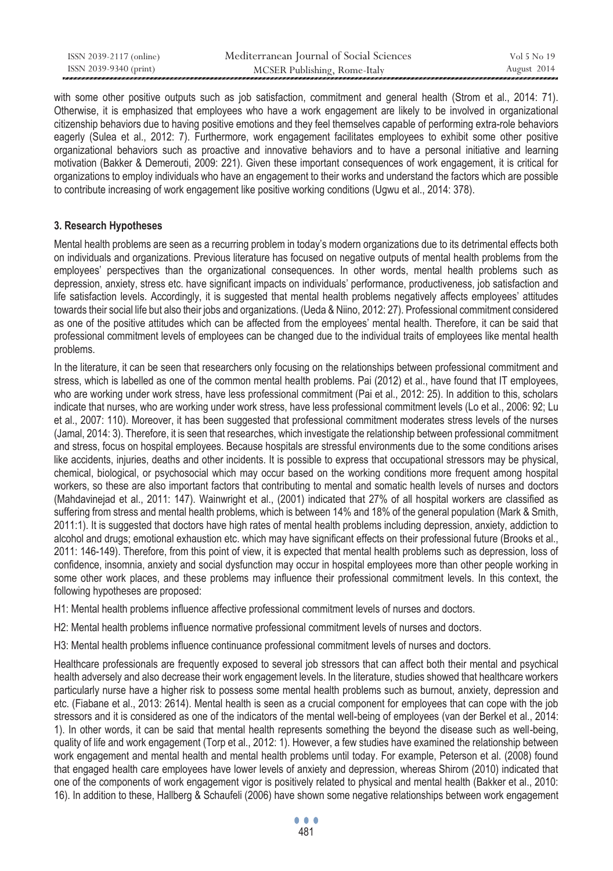| ISSN 2039-2117 (online) | Mediterranean Journal of Social Sciences | Vol 5 No 19 |
|-------------------------|------------------------------------------|-------------|
| ISSN 2039-9340 (print)  | MCSER Publishing, Rome-Italy             | August 2014 |

with some other positive outputs such as job satisfaction, commitment and general health (Strom et al., 2014: 71). Otherwise, it is emphasized that employees who have a work engagement are likely to be involved in organizational citizenship behaviors due to having positive emotions and they feel themselves capable of performing extra-role behaviors eagerly (Sulea et al., 2012: 7). Furthermore, work engagement facilitates employees to exhibit some other positive organizational behaviors such as proactive and innovative behaviors and to have a personal initiative and learning motivation (Bakker & Demerouti, 2009: 221). Given these important consequences of work engagement, it is critical for organizations to employ individuals who have an engagement to their works and understand the factors which are possible to contribute increasing of work engagement like positive working conditions (Ugwu et al., 2014: 378).

#### **3. Research Hypotheses**

Mental health problems are seen as a recurring problem in today's modern organizations due to its detrimental effects both on individuals and organizations. Previous literature has focused on negative outputs of mental health problems from the employees' perspectives than the organizational consequences. In other words, mental health problems such as depression, anxiety, stress etc. have significant impacts on individuals' performance, productiveness, job satisfaction and life satisfaction levels. Accordingly, it is suggested that mental health problems negatively affects employees' attitudes towards their social life but also their jobs and organizations. (Ueda & Niino, 2012: 27). Professional commitment considered as one of the positive attitudes which can be affected from the employees' mental health. Therefore, it can be said that professional commitment levels of employees can be changed due to the individual traits of employees like mental health problems.

In the literature, it can be seen that researchers only focusing on the relationships between professional commitment and stress, which is labelled as one of the common mental health problems. Pai (2012) et al., have found that IT employees, who are working under work stress, have less professional commitment (Pai et al., 2012: 25). In addition to this, scholars indicate that nurses, who are working under work stress, have less professional commitment levels (Lo et al., 2006: 92; Lu et al., 2007: 110). Moreover, it has been suggested that professional commitment moderates stress levels of the nurses (Jamal, 2014: 3). Therefore, it is seen that researches, which investigate the relationship between professional commitment and stress, focus on hospital employees. Because hospitals are stressful environments due to the some conditions arises like accidents, injuries, deaths and other incidents. It is possible to express that occupational stressors may be physical, chemical, biological, or psychosocial which may occur based on the working conditions more frequent among hospital workers, so these are also important factors that contributing to mental and somatic health levels of nurses and doctors (Mahdavinejad et al., 2011: 147). Wainwright et al., (2001) indicated that 27% of all hospital workers are classified as suffering from stress and mental health problems, which is between 14% and 18% of the general population (Mark & Smith, 2011:1). It is suggested that doctors have high rates of mental health problems including depression, anxiety, addiction to alcohol and drugs; emotional exhaustion etc. which may have significant effects on their professional future (Brooks et al., 2011: 146-149). Therefore, from this point of view, it is expected that mental health problems such as depression, loss of confidence, insomnia, anxiety and social dysfunction may occur in hospital employees more than other people working in some other work places, and these problems may influence their professional commitment levels. In this context, the following hypotheses are proposed:

H1: Mental health problems influence affective professional commitment levels of nurses and doctors.

H2: Mental health problems influence normative professional commitment levels of nurses and doctors.

H3: Mental health problems influence continuance professional commitment levels of nurses and doctors.

Healthcare professionals are frequently exposed to several job stressors that can affect both their mental and psychical health adversely and also decrease their work engagement levels. In the literature, studies showed that healthcare workers particularly nurse have a higher risk to possess some mental health problems such as burnout, anxiety, depression and etc. (Fiabane et al., 2013: 2614). Mental health is seen as a crucial component for employees that can cope with the job stressors and it is considered as one of the indicators of the mental well-being of employees (van der Berkel et al., 2014: 1). In other words, it can be said that mental health represents something the beyond the disease such as well-being, quality of life and work engagement (Torp et al., 2012: 1). However, a few studies have examined the relationship between work engagement and mental health and mental health problems until today. For example, Peterson et al. (2008) found that engaged health care employees have lower levels of anxiety and depression, whereas Shirom (2010) indicated that one of the components of work engagement vigor is positively related to physical and mental health (Bakker et al., 2010: 16). In addition to these, Hallberg & Schaufeli (2006) have shown some negative relationships between work engagement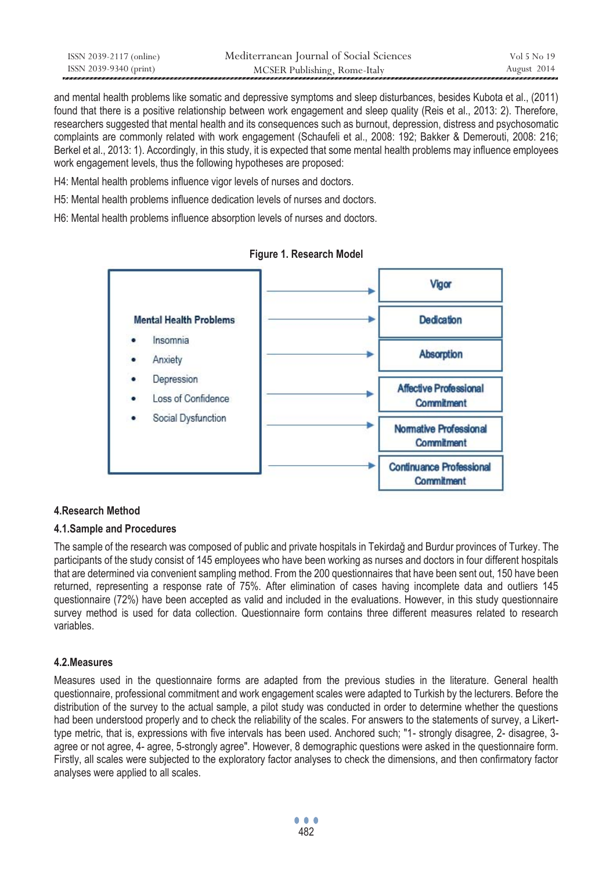| ISSN 2039-2117 (online) | Mediterranean Journal of Social Sciences | Vol 5 No 19 |
|-------------------------|------------------------------------------|-------------|
| ISSN 2039-9340 (print)  | MCSER Publishing, Rome-Italy             | August 2014 |

and mental health problems like somatic and depressive symptoms and sleep disturbances, besides Kubota et al., (2011) found that there is a positive relationship between work engagement and sleep quality (Reis et al., 2013: 2). Therefore, researchers suggested that mental health and its consequences such as burnout, depression, distress and psychosomatic complaints are commonly related with work engagement (Schaufeli et al., 2008: 192; Bakker & Demerouti, 2008: 216; Berkel et al., 2013: 1). Accordingly, in this study, it is expected that some mental health problems may influence employees work engagement levels, thus the following hypotheses are proposed:

H4: Mental health problems influence vigor levels of nurses and doctors.

H5: Mental health problems influence dedication levels of nurses and doctors.

H6: Mental health problems influence absorption levels of nurses and doctors.



### **Figure 1. Research Model**

### **4.Research Method**

#### **4.1.Sample and Procedures**

The sample of the research was composed of public and private hospitals in Tekirdağ and Burdur provinces of Turkey. The participants of the study consist of 145 employees who have been working as nurses and doctors in four different hospitals that are determined via convenient sampling method. From the 200 questionnaires that have been sent out, 150 have been returned, representing a response rate of 75%. After elimination of cases having incomplete data and outliers 145 questionnaire (72%) have been accepted as valid and included in the evaluations. However, in this study questionnaire survey method is used for data collection. Questionnaire form contains three different measures related to research variables.

#### **4.2.Measures**

Measures used in the questionnaire forms are adapted from the previous studies in the literature. General health questionnaire, professional commitment and work engagement scales were adapted to Turkish by the lecturers. Before the distribution of the survey to the actual sample, a pilot study was conducted in order to determine whether the questions had been understood properly and to check the reliability of the scales. For answers to the statements of survey, a Likerttype metric, that is, expressions with five intervals has been used. Anchored such; "1- strongly disagree, 2- disagree, 3 agree or not agree, 4- agree, 5-strongly agree". However, 8 demographic questions were asked in the questionnaire form. Firstly, all scales were subjected to the exploratory factor analyses to check the dimensions, and then confirmatory factor analyses were applied to all scales.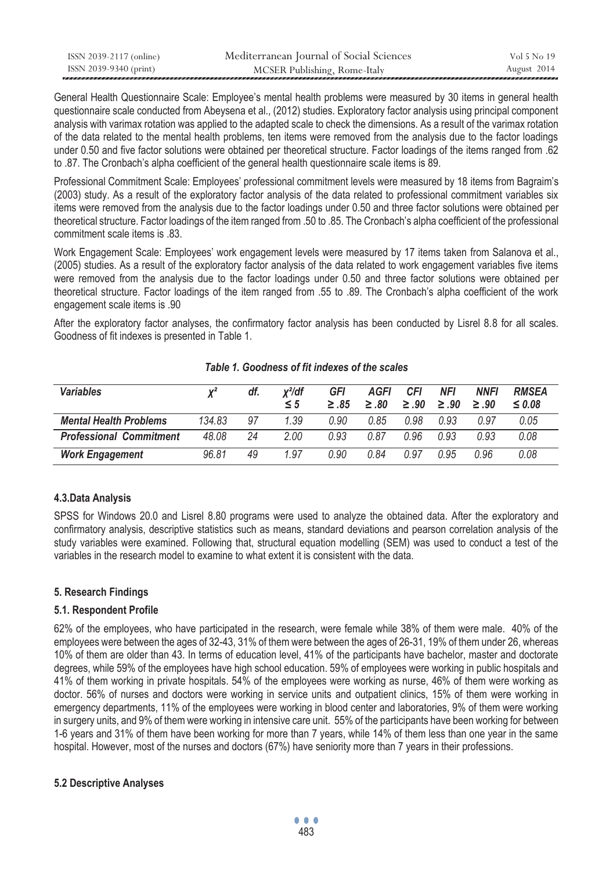| ISSN 2039-2117 (online) | Mediterranean Journal of Social Sciences | Vol 5 No 19 |
|-------------------------|------------------------------------------|-------------|
| ISSN 2039-9340 (print)  | MCSER Publishing, Rome-Italy             | August 2014 |

General Health Questionnaire Scale: Employee's mental health problems were measured by 30 items in general health questionnaire scale conducted from Abeysena et al., (2012) studies. Exploratory factor analysis using principal component analysis with varimax rotation was applied to the adapted scale to check the dimensions. As a result of the varimax rotation of the data related to the mental health problems, ten items were removed from the analysis due to the factor loadings under 0.50 and five factor solutions were obtained per theoretical structure. Factor loadings of the items ranged from .62 to .87. The Cronbach's alpha coefficient of the general health questionnaire scale items is 89.

Professional Commitment Scale: Employees' professional commitment levels were measured by 18 items from Bagraim's (2003) study. As a result of the exploratory factor analysis of the data related to professional commitment variables six items were removed from the analysis due to the factor loadings under 0.50 and three factor solutions were obtained per theoretical structure. Factor loadings of the item ranged from .50 to .85. The Cronbach's alpha coefficient of the professional commitment scale items is .83.

Work Engagement Scale: Employees' work engagement levels were measured by 17 items taken from Salanova et al., (2005) studies. As a result of the exploratory factor analysis of the data related to work engagement variables five items were removed from the analysis due to the factor loadings under 0.50 and three factor solutions were obtained per theoretical structure. Factor loadings of the item ranged from .55 to .89. The Cronbach's alpha coefficient of the work engagement scale items is .90

After the exploratory factor analyses, the confirmatory factor analysis has been conducted by Lisrel 8.8 for all scales. Goodness of fit indexes is presented in Table 1.

| <b>Variables</b>               |        | df. | $x^2$ /df<br>$\leq 5$ | GFI<br>$\geq .85$ | <b>AGFI</b><br>$\geq .80$ | <b>CFI</b><br>$\geq .90$ | NFI<br>$\geq .90$ | <b>NNFI</b><br>$\geq .90$ | <b>RMSEA</b><br>$\leq 0.08$ |
|--------------------------------|--------|-----|-----------------------|-------------------|---------------------------|--------------------------|-------------------|---------------------------|-----------------------------|
| <b>Mental Health Problems</b>  | 134.83 | 97  | 1.39                  | 0.90              | 0.85                      | 0.98                     | 0.93              | 0.97                      | 0.05                        |
| <b>Professional Commitment</b> | 48.08  | 24  | 2.00                  | 0.93              | 0.87                      | 0.96                     | 0.93              | 0.93                      | 0.08                        |
| <b>Work Engagement</b>         | 96.81  | 49  | 1.97                  | 0.90              | 0.84                      | 0.97                     | 0.95              | 0.96                      | 0.08                        |

### *Table 1. Goodness of fit indexes of the scales*

### **4.3.Data Analysis**

SPSS for Windows 20.0 and Lisrel 8.80 programs were used to analyze the obtained data. After the exploratory and confirmatory analysis, descriptive statistics such as means, standard deviations and pearson correlation analysis of the study variables were examined. Following that, structural equation modelling (SEM) was used to conduct a test of the variables in the research model to examine to what extent it is consistent with the data.

### **5. Research Findings**

#### **5.1. Respondent Profile**

62% of the employees, who have participated in the research, were female while 38% of them were male. 40% of the employees were between the ages of 32-43, 31% of them were between the ages of 26-31, 19% of them under 26, whereas 10% of them are older than 43. In terms of education level, 41% of the participants have bachelor, master and doctorate degrees, while 59% of the employees have high school education. 59% of employees were working in public hospitals and 41% of them working in private hospitals. 54% of the employees were working as nurse, 46% of them were working as doctor. 56% of nurses and doctors were working in service units and outpatient clinics, 15% of them were working in emergency departments, 11% of the employees were working in blood center and laboratories, 9% of them were working in surgery units, and 9% of them were working in intensive care unit. 55% of the participants have been working for between 1-6 years and 31% of them have been working for more than 7 years, while 14% of them less than one year in the same hospital. However, most of the nurses and doctors (67%) have seniority more than 7 years in their professions.

### **5.2 Descriptive Analyses**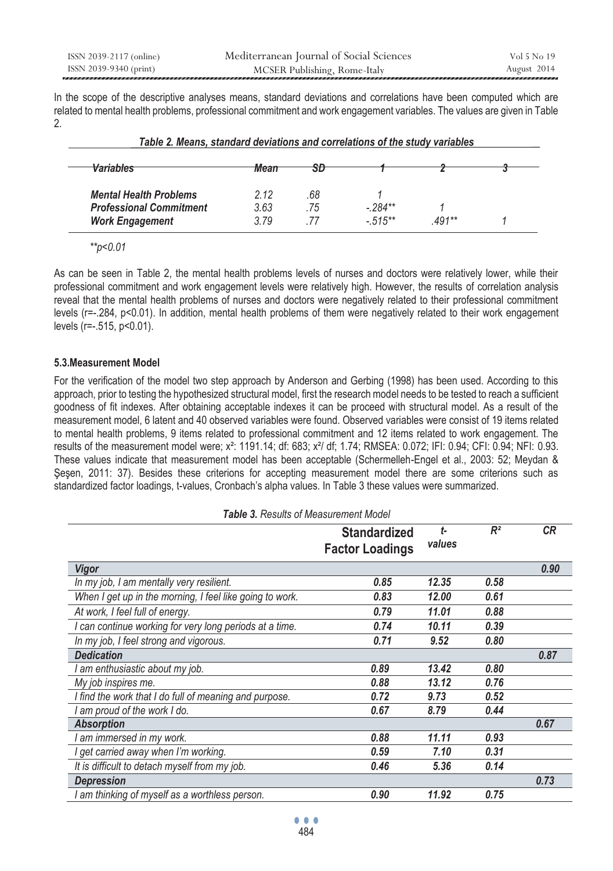| ISSN 2039-2117 (online) | Mediterranean Journal of Social Sciences | Vol 5 No 19 |
|-------------------------|------------------------------------------|-------------|
| ISSN 2039-9340 (print)  | MCSER Publishing, Rome-Italy             | August 2014 |

In the scope of the descriptive analyses means, standard deviations and correlations have been computed which are related to mental health problems, professional commitment and work engagement variables. The values are given in Table 2.

| Table 2. Means, standard deviations and correlations of the study variables |      |     |           |         |  |
|-----------------------------------------------------------------------------|------|-----|-----------|---------|--|
| <b>Variables</b>                                                            | Mean | SĐ  |           |         |  |
| <b>Mental Health Problems</b>                                               | 2.12 | .68 |           |         |  |
| <b>Professional Commitment</b>                                              | 3.63 | .75 | $-284**$  |         |  |
| <b>Work Engagement</b>                                                      | 3.79 |     | $-51.5**$ | $491**$ |  |

 *\*\*p<0.01* 

As can be seen in Table 2, the mental health problems levels of nurses and doctors were relatively lower, while their professional commitment and work engagement levels were relatively high. However, the results of correlation analysis reveal that the mental health problems of nurses and doctors were negatively related to their professional commitment levels (r=-.284, p<0.01). In addition, mental health problems of them were negatively related to their work engagement levels (r=-.515, p<0.01).

#### **5.3.Measurement Model**

For the verification of the model two step approach by Anderson and Gerbing (1998) has been used. According to this approach, prior to testing the hypothesized structural model, first the research model needs to be tested to reach a sufficient goodness of fit indexes. After obtaining acceptable indexes it can be proceed with structural model. As a result of the measurement model, 6 latent and 40 observed variables were found. Observed variables were consist of 19 items related to mental health problems, 9 items related to professional commitment and 12 items related to work engagement. The results of the measurement model were; x²: 1191.14; df: 683; x²/ df; 1.74; RMSEA: 0.072; IFI: 0.94; CFI: 0.94; NFI: 0.93. These values indicate that measurement model has been acceptable (Schermelleh-Engel et al., 2003: 52; Meydan & Sesen, 2011: 37). Besides these criterions for accepting measurement model there are some criterions such as standardized factor loadings, t-values, Cronbach's alpha values. In Table 3 these values were summarized.

| <b>Table 3.</b> Results of Measurement Model |
|----------------------------------------------|
|----------------------------------------------|

|                                                          | <b>Standardized</b><br><b>Factor Loadings</b> | t-<br>values | R <sup>2</sup> | <b>CR</b> |
|----------------------------------------------------------|-----------------------------------------------|--------------|----------------|-----------|
| Vigor                                                    |                                               |              |                | 0.90      |
| In my job, I am mentally very resilient.                 | 0.85                                          | 12.35        | 0.58           |           |
| When I get up in the morning, I feel like going to work. | 0.83                                          | 12.00        | 0.61           |           |
| At work, I feel full of energy.                          | 0.79                                          | 11.01        | 0.88           |           |
| I can continue working for very long periods at a time.  | 0.74                                          | 10.11        | 0.39           |           |
| In my job, I feel strong and vigorous.                   | 0.71                                          | 9.52         | 0.80           |           |
| <b>Dedication</b>                                        |                                               |              |                | 0.87      |
| I am enthusiastic about my job.                          | 0.89                                          | 13.42        | 0.80           |           |
| My job inspires me.                                      | 0.88                                          | 13.12        | 0.76           |           |
| I find the work that I do full of meaning and purpose.   | 0.72                                          | 9.73         | 0.52           |           |
| I am proud of the work I do.                             | 0.67                                          | 8.79         | 0.44           |           |
| <b>Absorption</b>                                        |                                               |              |                | 0.67      |
| I am immersed in my work.                                | 0.88                                          | 11.11        | 0.93           |           |
| I get carried away when I'm working.                     | 0.59                                          | 7.10         | 0.31           |           |
| It is difficult to detach myself from my job.            | 0.46                                          | 5.36         | 0.14           |           |
| <b>Depression</b>                                        |                                               |              |                | 0.73      |
| I am thinking of myself as a worthless person.           | 0.90                                          | 11.92        | 0.75           |           |

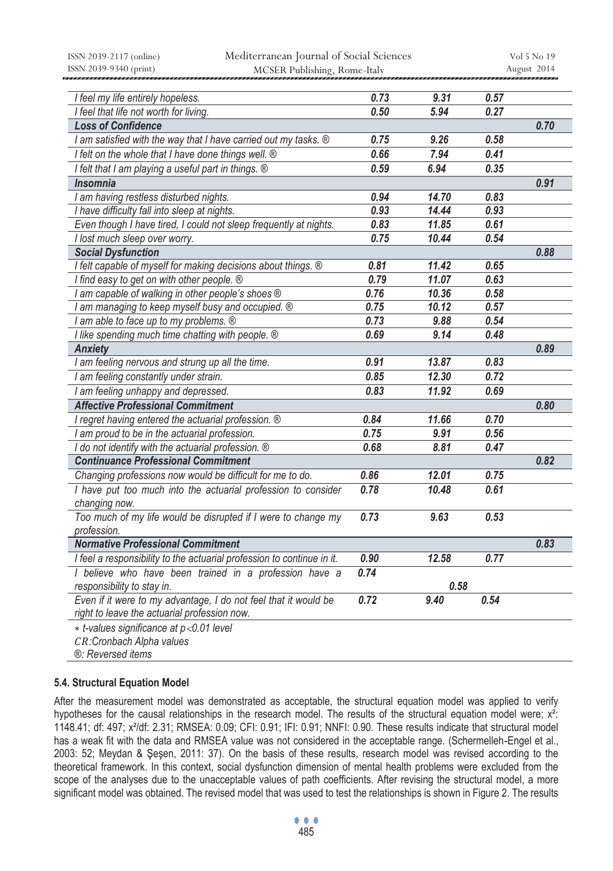Mediterranean Journal of Social Sciences MCSER Publishing, Rome-Italy

Vol 5 No 19 August 2014

| I feel my life entirely hopeless.                                      | 0.73 | 9.31  | 0.57 |      |
|------------------------------------------------------------------------|------|-------|------|------|
| I feel that life not worth for living.                                 | 0.50 | 5.94  | 0.27 |      |
| <b>Loss of Confidence</b>                                              |      |       |      | 0.70 |
| I am satisfied with the way that I have carried out my tasks. ®        | 0.75 | 9.26  | 0.58 |      |
| I felt on the whole that I have done things well. ®                    | 0.66 | 7.94  | 0.41 |      |
| I felt that I am playing a useful part in things. ®                    | 0.59 | 6.94  | 0.35 |      |
| <b>Insomnia</b>                                                        |      |       |      | 0.91 |
| I am having restless disturbed nights.                                 | 0.94 | 14.70 | 0.83 |      |
| I have difficulty fall into sleep at nights.                           | 0.93 | 14.44 | 0.93 |      |
| Even though I have tired, I could not sleep frequently at nights.      | 0.83 | 11.85 | 0.61 |      |
| I lost much sleep over worry.                                          | 0.75 | 10.44 | 0.54 |      |
| <b>Social Dysfunction</b>                                              |      |       |      | 0.88 |
| I felt capable of myself for making decisions about things. ®          | 0.81 | 11.42 | 0.65 |      |
| I find easy to get on with other people. ®                             | 0.79 | 11.07 | 0.63 |      |
| I am capable of walking in other people's shoes ®                      | 0.76 | 10.36 | 0.58 |      |
| I am managing to keep myself busy and occupied. ®                      | 0.75 | 10.12 | 0.57 |      |
| I am able to face up to my problems. ®                                 | 0.73 | 9.88  | 0.54 |      |
| I like spending much time chatting with people. ®                      | 0.69 | 9.14  | 0.48 |      |
| <b>Anxiety</b>                                                         |      |       |      | 0.89 |
| I am feeling nervous and strung up all the time.                       | 0.91 | 13.87 | 0.83 |      |
| I am feeling constantly under strain.                                  | 0.85 | 12.30 | 0.72 |      |
| I am feeling unhappy and depressed.                                    | 0.83 | 11.92 | 0.69 |      |
| <b>Affective Professional Commitment</b>                               |      |       |      | 0.80 |
| I regret having entered the actuarial profession. ®                    | 0.84 | 11.66 | 0.70 |      |
| I am proud to be in the actuarial profession.                          | 0.75 | 9.91  | 0.56 |      |
| I do not identify with the actuarial profession. ®                     | 0.68 | 8.81  | 0.47 |      |
| <b>Continuance Professional Commitment</b>                             |      |       |      | 0.82 |
| Changing professions now would be difficult for me to do.              | 0.86 | 12.01 | 0.75 |      |
| I have put too much into the actuarial profession to consider          | 0.78 | 10.48 | 0.61 |      |
| changing now.                                                          |      |       |      |      |
| Too much of my life would be disrupted if I were to change my          | 0.73 | 9.63  | 0.53 |      |
| profession.                                                            |      |       |      |      |
| <b>Normative Professional Commitment</b>                               |      |       |      | 0.83 |
| I feel a responsibility to the actuarial profession to continue in it. | 0.90 | 12.58 | 0.77 |      |
| I believe who have been trained in a profession have a                 | 0.74 |       |      |      |
| responsibility to stay in.                                             |      | 0.58  |      |      |
| Even if it were to my advantage, I do not feel that it would be        | 0.72 | 9.40  | 0.54 |      |
| right to leave the actuarial profession now.                           |      |       |      |      |
| * t-values significance at p<0.01 level                                |      |       |      |      |
| CR:Cronbach Alpha values                                               |      |       |      |      |
| ®: Reversed items                                                      |      |       |      |      |

### **5.4. Structural Equation Model**

After the measurement model was demonstrated as acceptable, the structural equation model was applied to verify hypotheses for the causal relationships in the research model. The results of the structural equation model were;  $x^2$ : 1148.41; df: 497; x²/df: 2.31; RMSEA: 0.09; CFI: 0.91; IFI: 0.91; NNFI: 0.90. These results indicate that structural model has a weak fit with the data and RMSEA value was not considered in the acceptable range. (Schermelleh-Engel et al., 2003: 52; Meydan & Şeşen, 2011: 37). On the basis of these results, research model was revised according to the theoretical framework. In this context, social dysfunction dimension of mental health problems were excluded from the scope of the analyses due to the unacceptable values of path coefficients. After revising the structural model, a more significant model was obtained. The revised model that was used to test the relationships is shown in Figure 2. The results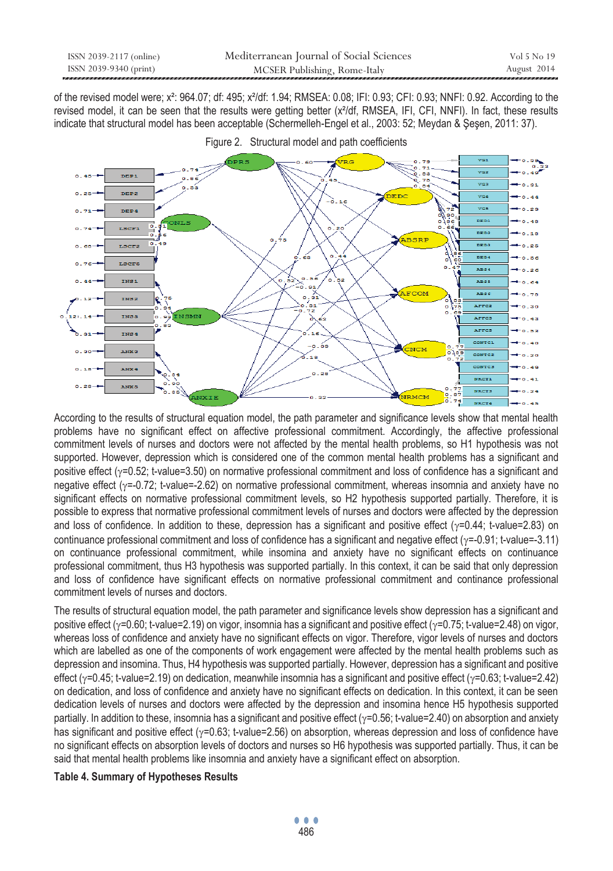| ISSN 2039-2117 (online) | Mediterranean Journal of Social Sciences | Vol 5 No 19 |
|-------------------------|------------------------------------------|-------------|
| ISSN 2039-9340 (print)  | MCSER Publishing, Rome-Italy             | August 2014 |

of the revised model were; x<sup>2</sup>: 964.07; df: 495; x<sup>2</sup>/df: 1.94; RMSEA: 0.08; IFI: 0.93; CFI: 0.93; NNFI: 0.92. According to the revised model, it can be seen that the results were getting better (x<sup>2</sup>/df, RMSEA, IFI, CFI, NNFI). In fact, these results indicate that structural model has been acceptable (Schermelleh-Engel et al., 2003: 52; Meydan & Şeşen, 2011: 37).



Figure 2. Structural model and path coefficients

According to the results of structural equation model, the path parameter and significance levels show that mental health problems have no significant effect on affective professional commitment. Accordingly, the affective professional commitment levels of nurses and doctors were not affected by the mental health problems, so H1 hypothesis was not supported. However, depression which is considered one of the common mental health problems has a significant and positive effect ( $\gamma$ =0.52; t-value=3.50) on normative professional commitment and loss of confidence has a significant and negative effect ( $y=0.72$ ; t-value=-2.62) on normative professional commitment, whereas insomnia and anxiety have no significant effects on normative professional commitment levels, so H2 hypothesis supported partially. Therefore, it is possible to express that normative professional commitment levels of nurses and doctors were affected by the depression and loss of confidence. In addition to these, depression has a significant and positive effect ( $\gamma$ =0.44; t-value=2.83) on continuance professional commitment and loss of confidence has a significant and negative effect ( $\gamma$ =-0.91; t-value=-3.11) on continuance professional commitment, while insomina and anxiety have no significant effects on continuance professional commitment, thus H3 hypothesis was supported partially. In this context, it can be said that only depression and loss of confidence have significant effects on normative professional commitment and continance professional commitment levels of nurses and doctors.

The results of structural equation model, the path parameter and significance levels show depression has a significant and positive effect ( $\gamma$ =0.60; t-value=2.19) on vigor, insomnia has a significant and positive effect ( $\gamma$ =0.75; t-value=2.48) on vigor, whereas loss of confidence and anxiety have no significant effects on vigor. Therefore, vigor levels of nurses and doctors which are labelled as one of the components of work engagement were affected by the mental health problems such as depression and insomina. Thus, H4 hypothesis was supported partially. However, depression has a significant and positive effect ( $\gamma$ =0.45; t-value=2.19) on dedication, meanwhile insomnia has a significant and positive effect ( $\gamma$ =0.63; t-value=2.42) on dedication, and loss of confidence and anxiety have no significant effects on dedication. In this context, it can be seen dedication levels of nurses and doctors were affected by the depression and insomina hence H5 hypothesis supported partially. In addition to these, insomnia has a significant and positive effect ( $\gamma$ =0.56; t-value=2.40) on absorption and anxiety has significant and positive effect ( $\gamma$ =0.63; t-value=2.56) on absorption, whereas depression and loss of confidence have no significant effects on absorption levels of doctors and nurses so H6 hypothesis was supported partially. Thus, it can be said that mental health problems like insomnia and anxiety have a significant effect on absorption.

#### **Table 4. Summary of Hypotheses Results**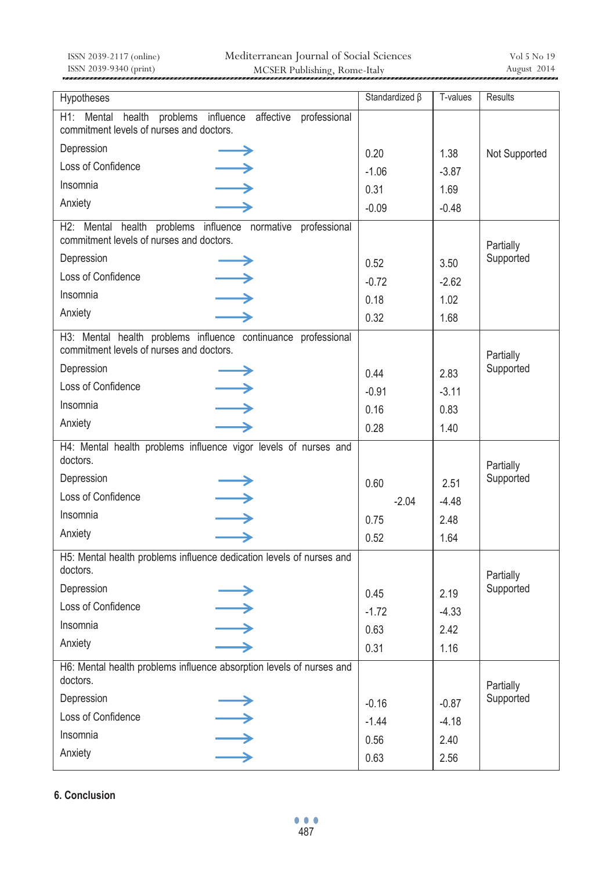| H1: Mental health problems influence affective professional<br>commitment levels of nurses and doctors.<br>Depression<br>0.20<br>1.38<br>Not Supported<br>Loss of Confidence<br>$-1.06$<br>$-3.87$<br>Insomnia<br>0.31<br>1.69<br>Anxiety<br>$-0.09$<br>$-0.48$<br>H2: Mental health problems influence normative professional<br>commitment levels of nurses and doctors.<br>Partially<br>Supported<br>Depression<br>0.52<br>3.50<br>Loss of Confidence<br>$-0.72$<br>$-2.62$<br>Insomnia<br>0.18<br>1.02<br>Anxiety<br>$\rightarrow$<br>0.32<br>1.68<br>H3: Mental health problems influence continuance professional<br>commitment levels of nurses and doctors.<br>Partially<br>Depression<br>Supported<br>2.83<br>0.44<br>Loss of Confidence<br>$-0.91$<br>$-3.11$<br>Insomnia<br>0.16<br>0.83<br>Anxiety<br>0.28<br>1.40<br>H4: Mental health problems influence vigor levels of nurses and<br>doctors.<br>Partially<br>Depression<br>Supported<br>2.51<br>0.60<br>Loss of Confidence<br>$-2.04$<br>$-4.48$<br>Insomnia<br>0.75<br>2.48 |
|-----------------------------------------------------------------------------------------------------------------------------------------------------------------------------------------------------------------------------------------------------------------------------------------------------------------------------------------------------------------------------------------------------------------------------------------------------------------------------------------------------------------------------------------------------------------------------------------------------------------------------------------------------------------------------------------------------------------------------------------------------------------------------------------------------------------------------------------------------------------------------------------------------------------------------------------------------------------------------------------------------------------------------------------------|
|                                                                                                                                                                                                                                                                                                                                                                                                                                                                                                                                                                                                                                                                                                                                                                                                                                                                                                                                                                                                                                               |
|                                                                                                                                                                                                                                                                                                                                                                                                                                                                                                                                                                                                                                                                                                                                                                                                                                                                                                                                                                                                                                               |
|                                                                                                                                                                                                                                                                                                                                                                                                                                                                                                                                                                                                                                                                                                                                                                                                                                                                                                                                                                                                                                               |
|                                                                                                                                                                                                                                                                                                                                                                                                                                                                                                                                                                                                                                                                                                                                                                                                                                                                                                                                                                                                                                               |
|                                                                                                                                                                                                                                                                                                                                                                                                                                                                                                                                                                                                                                                                                                                                                                                                                                                                                                                                                                                                                                               |
|                                                                                                                                                                                                                                                                                                                                                                                                                                                                                                                                                                                                                                                                                                                                                                                                                                                                                                                                                                                                                                               |
|                                                                                                                                                                                                                                                                                                                                                                                                                                                                                                                                                                                                                                                                                                                                                                                                                                                                                                                                                                                                                                               |
|                                                                                                                                                                                                                                                                                                                                                                                                                                                                                                                                                                                                                                                                                                                                                                                                                                                                                                                                                                                                                                               |
|                                                                                                                                                                                                                                                                                                                                                                                                                                                                                                                                                                                                                                                                                                                                                                                                                                                                                                                                                                                                                                               |
|                                                                                                                                                                                                                                                                                                                                                                                                                                                                                                                                                                                                                                                                                                                                                                                                                                                                                                                                                                                                                                               |
|                                                                                                                                                                                                                                                                                                                                                                                                                                                                                                                                                                                                                                                                                                                                                                                                                                                                                                                                                                                                                                               |
|                                                                                                                                                                                                                                                                                                                                                                                                                                                                                                                                                                                                                                                                                                                                                                                                                                                                                                                                                                                                                                               |
|                                                                                                                                                                                                                                                                                                                                                                                                                                                                                                                                                                                                                                                                                                                                                                                                                                                                                                                                                                                                                                               |
|                                                                                                                                                                                                                                                                                                                                                                                                                                                                                                                                                                                                                                                                                                                                                                                                                                                                                                                                                                                                                                               |
|                                                                                                                                                                                                                                                                                                                                                                                                                                                                                                                                                                                                                                                                                                                                                                                                                                                                                                                                                                                                                                               |
|                                                                                                                                                                                                                                                                                                                                                                                                                                                                                                                                                                                                                                                                                                                                                                                                                                                                                                                                                                                                                                               |
|                                                                                                                                                                                                                                                                                                                                                                                                                                                                                                                                                                                                                                                                                                                                                                                                                                                                                                                                                                                                                                               |
|                                                                                                                                                                                                                                                                                                                                                                                                                                                                                                                                                                                                                                                                                                                                                                                                                                                                                                                                                                                                                                               |
|                                                                                                                                                                                                                                                                                                                                                                                                                                                                                                                                                                                                                                                                                                                                                                                                                                                                                                                                                                                                                                               |
| Anxiety<br>1.64<br>0.52                                                                                                                                                                                                                                                                                                                                                                                                                                                                                                                                                                                                                                                                                                                                                                                                                                                                                                                                                                                                                       |
| H5: Mental health problems influence dedication levels of nurses and                                                                                                                                                                                                                                                                                                                                                                                                                                                                                                                                                                                                                                                                                                                                                                                                                                                                                                                                                                          |
| doctors.<br>Partially                                                                                                                                                                                                                                                                                                                                                                                                                                                                                                                                                                                                                                                                                                                                                                                                                                                                                                                                                                                                                         |
| Depression<br>Supported<br>2.19<br>0.45                                                                                                                                                                                                                                                                                                                                                                                                                                                                                                                                                                                                                                                                                                                                                                                                                                                                                                                                                                                                       |
| Loss of Confidence<br>$-4.33$<br>$-1.72$                                                                                                                                                                                                                                                                                                                                                                                                                                                                                                                                                                                                                                                                                                                                                                                                                                                                                                                                                                                                      |
| Insomnia<br>2.42<br>0.63                                                                                                                                                                                                                                                                                                                                                                                                                                                                                                                                                                                                                                                                                                                                                                                                                                                                                                                                                                                                                      |
| Anxiety<br>0.31<br>1.16                                                                                                                                                                                                                                                                                                                                                                                                                                                                                                                                                                                                                                                                                                                                                                                                                                                                                                                                                                                                                       |
| H6: Mental health problems influence absorption levels of nurses and<br>doctors.<br>Partially                                                                                                                                                                                                                                                                                                                                                                                                                                                                                                                                                                                                                                                                                                                                                                                                                                                                                                                                                 |
| Depression<br>Supported<br>$-0.16$<br>$-0.87$                                                                                                                                                                                                                                                                                                                                                                                                                                                                                                                                                                                                                                                                                                                                                                                                                                                                                                                                                                                                 |
| Loss of Confidence<br>$-1.44$<br>$-4.18$                                                                                                                                                                                                                                                                                                                                                                                                                                                                                                                                                                                                                                                                                                                                                                                                                                                                                                                                                                                                      |
| Insomnia<br>0.56<br>2.40                                                                                                                                                                                                                                                                                                                                                                                                                                                                                                                                                                                                                                                                                                                                                                                                                                                                                                                                                                                                                      |
| Anxiety<br>0.63<br>2.56                                                                                                                                                                                                                                                                                                                                                                                                                                                                                                                                                                                                                                                                                                                                                                                                                                                                                                                                                                                                                       |

**6. Conclusion**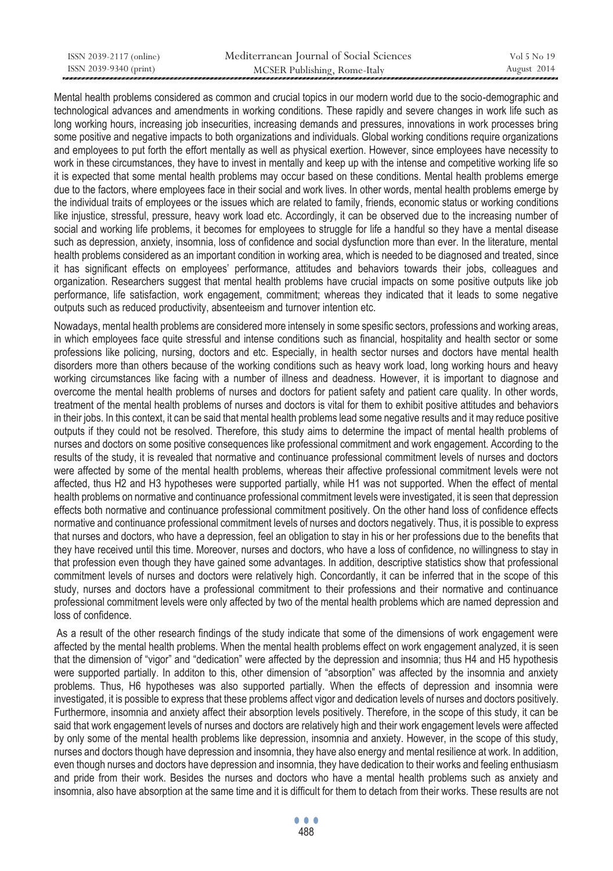| ISSN 2039-2117 (online) | Mediterranean Journal of Social Sciences | Vol 5 No 19 |
|-------------------------|------------------------------------------|-------------|
| ISSN 2039-9340 (print)  | MCSER Publishing, Rome-Italy             | August 2014 |

Mental health problems considered as common and crucial topics in our modern world due to the socio-demographic and technological advances and amendments in working conditions. These rapidly and severe changes in work life such as long working hours, increasing job insecurities, increasing demands and pressures, innovations in work processes bring some positive and negative impacts to both organizations and individuals. Global working conditions require organizations and employees to put forth the effort mentally as well as physical exertion. However, since employees have necessity to work in these circumstances, they have to invest in mentally and keep up with the intense and competitive working life so it is expected that some mental health problems may occur based on these conditions. Mental health problems emerge due to the factors, where employees face in their social and work lives. In other words, mental health problems emerge by the individual traits of employees or the issues which are related to family, friends, economic status or working conditions like injustice, stressful, pressure, heavy work load etc. Accordingly, it can be observed due to the increasing number of social and working life problems, it becomes for employees to struggle for life a handful so they have a mental disease such as depression, anxiety, insomnia, loss of confidence and social dysfunction more than ever. In the literature, mental health problems considered as an important condition in working area, which is needed to be diagnosed and treated, since it has significant effects on employees' performance, attitudes and behaviors towards their jobs, colleagues and organization. Researchers suggest that mental health problems have crucial impacts on some positive outputs like job performance, life satisfaction, work engagement, commitment; whereas they indicated that it leads to some negative outputs such as reduced productivity, absenteeism and turnover intention etc.

Nowadays, mental health problems are considered more intensely in some spesific sectors, professions and working areas, in which employees face quite stressful and intense conditions such as financial, hospitality and health sector or some professions like policing, nursing, doctors and etc. Especially, in health sector nurses and doctors have mental health disorders more than others because of the working conditions such as heavy work load, long working hours and heavy working circumstances like facing with a number of illness and deadness. However, it is important to diagnose and overcome the mental health problems of nurses and doctors for patient safety and patient care quality. In other words, treatment of the mental health problems of nurses and doctors is vital for them to exhibit positive attitudes and behaviors in their jobs. In this context, it can be said that mental health problems lead some negative results and it may reduce positive outputs if they could not be resolved. Therefore, this study aims to determine the impact of mental health problems of nurses and doctors on some positive consequences like professional commitment and work engagement. According to the results of the study, it is revealed that normative and continuance professional commitment levels of nurses and doctors were affected by some of the mental health problems, whereas their affective professional commitment levels were not affected, thus H2 and H3 hypotheses were supported partially, while H1 was not supported. When the effect of mental health problems on normative and continuance professional commitment levels were investigated, it is seen that depression effects both normative and continuance professional commitment positively. On the other hand loss of confidence effects normative and continuance professional commitment levels of nurses and doctors negatively. Thus, it is possible to express that nurses and doctors, who have a depression, feel an obligation to stay in his or her professions due to the benefits that they have received until this time. Moreover, nurses and doctors, who have a loss of confidence, no willingness to stay in that profession even though they have gained some advantages. In addition, descriptive statistics show that professional commitment levels of nurses and doctors were relatively high. Concordantly, it can be inferred that in the scope of this study, nurses and doctors have a professional commitment to their professions and their normative and continuance professional commitment levels were only affected by two of the mental health problems which are named depression and loss of confidence.

 As a result of the other research findings of the study indicate that some of the dimensions of work engagement were affected by the mental health problems. When the mental health problems effect on work engagement analyzed, it is seen that the dimension of "vigor" and "dedication" were affected by the depression and insomnia; thus H4 and H5 hypothesis were supported partially. In additon to this, other dimension of "absorption" was affected by the insomnia and anxiety problems. Thus, H6 hypotheses was also supported partially. When the effects of depression and insomnia were investigated, it is possible to express that these problems affect vigor and dedication levels of nurses and doctors positively. Furthermore, insomnia and anxiety affect their absorption levels positively. Therefore, in the scope of this study, it can be said that work engagement levels of nurses and doctors are relatively high and their work engagement levels were affected by only some of the mental health problems like depression, insomnia and anxiety. However, in the scope of this study, nurses and doctors though have depression and insomnia, they have also energy and mental resilience at work. In addition, even though nurses and doctors have depression and insomnia, they have dedication to their works and feeling enthusiasm and pride from their work. Besides the nurses and doctors who have a mental health problems such as anxiety and insomnia, also have absorption at the same time and it is difficult for them to detach from their works. These results are not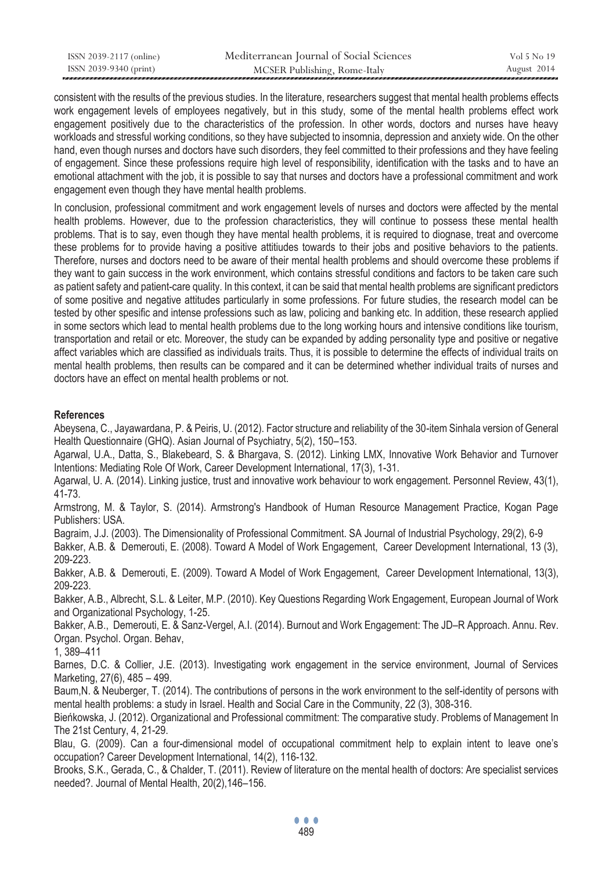| ISSN 2039-2117 (online) | Mediterranean Journal of Social Sciences | Vol 5 No 19 |
|-------------------------|------------------------------------------|-------------|
| ISSN 2039-9340 (print)  | MCSER Publishing, Rome-Italy             | August 2014 |

consistent with the results of the previous studies. In the literature, researchers suggest that mental health problems effects work engagement levels of employees negatively, but in this study, some of the mental health problems effect work engagement positively due to the characteristics of the profession. In other words, doctors and nurses have heavy workloads and stressful working conditions, so they have subjected to insomnia, depression and anxiety wide. On the other hand, even though nurses and doctors have such disorders, they feel committed to their professions and they have feeling of engagement. Since these professions require high level of responsibility, identification with the tasks and to have an emotional attachment with the job, it is possible to say that nurses and doctors have a professional commitment and work engagement even though they have mental health problems.

In conclusion, professional commitment and work engagement levels of nurses and doctors were affected by the mental health problems. However, due to the profession characteristics, they will continue to possess these mental health problems. That is to say, even though they have mental health problems, it is required to diognase, treat and overcome these problems for to provide having a positive attitiudes towards to their jobs and positive behaviors to the patients. Therefore, nurses and doctors need to be aware of their mental health problems and should overcome these problems if they want to gain success in the work environment, which contains stressful conditions and factors to be taken care such as patient safety and patient-care quality. In this context, it can be said that mental health problems are significant predictors of some positive and negative attitudes particularly in some professions. For future studies, the research model can be tested by other spesific and intense professions such as law, policing and banking etc. In addition, these research applied in some sectors which lead to mental health problems due to the long working hours and intensive conditions like tourism, transportation and retail or etc. Moreover, the study can be expanded by adding personality type and positive or negative affect variables which are classified as individuals traits. Thus, it is possible to determine the effects of individual traits on mental health problems, then results can be compared and it can be determined whether individual traits of nurses and doctors have an effect on mental health problems or not.

#### **References**

Abeysena, C., Jayawardana, P. & Peiris, U. (2012). Factor structure and reliability of the 30-item Sinhala version of General Health Questionnaire (GHQ). Asian Journal of Psychiatry, 5(2), 150–153.

Agarwal, U.A., Datta, S., Blakebeard, S. & Bhargava, S. (2012). Linking LMX, Innovative Work Behavior and Turnover Intentions: Mediating Role Of Work, Career Development International, 17(3), 1-31.

Agarwal, U. A. (2014). Linking justice, trust and innovative work behaviour to work engagement. Personnel Review, 43(1), 41-73.

Armstrong, M. & Taylor, S. (2014). Armstrong's Handbook of Human Resource Management Practice, Kogan Page Publishers: USA.

Bagraim, J.J. (2003). The Dimensionality of Professional Commitment. SA Journal of Industrial Psychology, 29(2), 6-9

Bakker, A.B. & Demerouti, E. (2008). Toward A Model of Work Engagement, Career Development International, 13 (3), 209-223.

Bakker, A.B. & Demerouti, E. (2009). Toward A Model of Work Engagement, Career Development International, 13(3), 209-223.

Bakker, A.B., Albrecht, S.L. & Leiter, M.P. (2010). Key Questions Regarding Work Engagement, European Journal of Work and Organizational Psychology, 1-25.

Bakker, A.B., Demerouti, E. & Sanz-Vergel, A.I. (2014). Burnout and Work Engagement: The JD–R Approach. Annu. Rev. Organ. Psychol. Organ. Behav,

1, 389–411

Barnes, D.C. & Collier, J.E. (2013). Investigating work engagement in the service environment, Journal of Services Marketing, 27(6), 485 – 499.

Baum,N. & Neuberger, T. (2014). The contributions of persons in the work environment to the self-identity of persons with mental health problems: a study in Israel. Health and Social Care in the Community, 22 (3), 308-316.

Bieńkowska, J. (2012). Organizational and Professional commitment: The comparative study. Problems of Management In The 21st Century, 4, 21-29.

Blau, G. (2009). Can a four-dimensional model of occupational commitment help to explain intent to leave one's occupation? Career Development International, 14(2), 116-132.

Brooks, S.K., Gerada, C., & Chalder, T. (2011). Review of literature on the mental health of doctors: Are specialist services needed?. Journal of Mental Health, 20(2),146–156.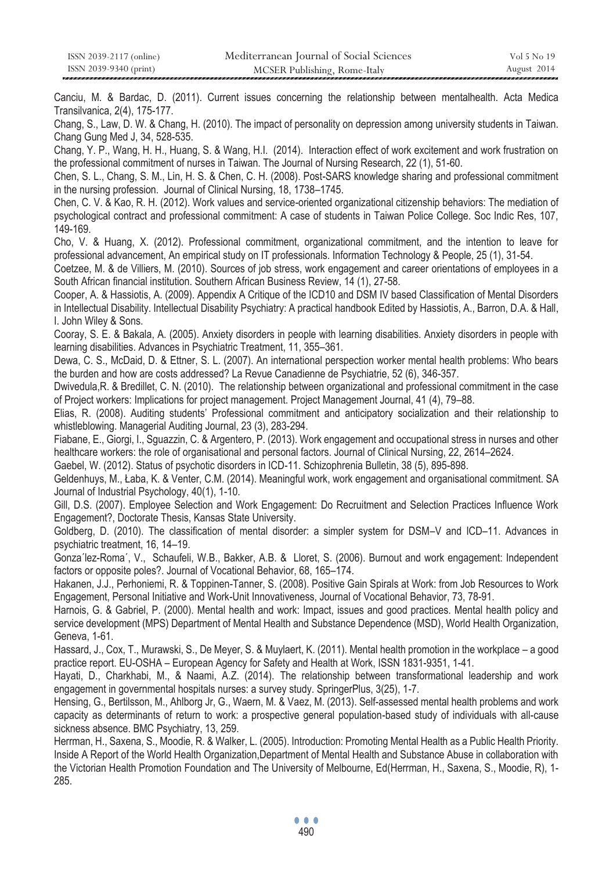| ISSN 2039-2117 (online) | Mediterranean Journal of Social Sciences | Vol 5 No 19 |
|-------------------------|------------------------------------------|-------------|
| ISSN 2039-9340 (print)  | MCSER Publishing, Rome-Italy             | August 2014 |

Canciu, M. & Bardac, D. (2011). Current issues concerning the relationship between mentalhealth. Acta Medica Transilvanica, 2(4), 175-177.

Chang, S., Law, D. W. & Chang, H. (2010). The impact of personality on depression among university students in Taiwan. Chang Gung Med J, 34, 528-535.

Chang, Y. P., Wang, H. H., Huang, S. & Wang, H.I. (2014). Interaction effect of work excitement and work frustration on the professional commitment of nurses in Taiwan. The Journal of Nursing Research, 22 (1), 51-60.

Chen, S. L., Chang, S. M., Lin, H. S. & Chen, C. H. (2008). Post-SARS knowledge sharing and professional commitment in the nursing profession. Journal of Clinical Nursing, 18, 1738–1745.

Chen, C. V. & Kao, R. H. (2012). Work values and service-oriented organizational citizenship behaviors: The mediation of psychological contract and professional commitment: A case of students in Taiwan Police College. Soc Indic Res, 107, 149-169.

Cho, V. & Huang, X. (2012). Professional commitment, organizational commitment, and the intention to leave for professional advancement, An empirical study on IT professionals. Information Technology & People, 25 (1), 31-54.

Coetzee, M. & de Villiers, M. (2010). Sources of job stress, work engagement and career orientations of employees in a South African financial institution. Southern African Business Review, 14 (1), 27-58.

Cooper, A. & Hassiotis, A. (2009). Appendix A Critique of the ICD10 and DSM IV based Classification of Mental Disorders in Intellectual Disability. Intellectual Disability Psychiatry: A practical handbook Edited by Hassiotis, A., Barron, D.A. & Hall, I. John Wiley & Sons.

Cooray, S. E. & Bakala, A. (2005). Anxiety disorders in people with learning disabilities. Anxiety disorders in people with learning disabilities. Advances in Psychiatric Treatment, 11, 355–361.

Dewa, C. S., McDaid, D. & Ettner, S. L. (2007). An international perspection worker mental health problems: Who bears the burden and how are costs addressed? La Revue Canadienne de Psychiatrie, 52 (6), 346-357.

Dwivedula,R. & Bredillet, C. N. (2010). The relationship between organizational and professional commitment in the case of Project workers: Implications for project management. Project Management Journal, 41 (4), 79–88.

Elias, R. (2008). Auditing students' Professional commitment and anticipatory socialization and their relationship to whistleblowing. Managerial Auditing Journal, 23 (3), 283-294.

Fiabane, E., Giorgi, I., Sguazzin, C. & Argentero, P. (2013). Work engagement and occupational stress in nurses and other healthcare workers: the role of organisational and personal factors. Journal of Clinical Nursing, 22, 2614–2624.

Gaebel, W. (2012). Status of psychotic disorders in ICD-11. Schizophrenia Bulletin, 38 (5), 895-898.

Geldenhuys, M., Łaba, K. & Venter, C.M. (2014). Meaningful work, work engagement and organisational commitment. SA Journal of Industrial Psychology, 40(1), 1-10.

Gill, D.S. (2007). Employee Selection and Work Engagement: Do Recruitment and Selection Practices Influence Work Engagement?, Doctorate Thesis, Kansas State University.

Goldberg, D. (2010). The classification of mental disorder: a simpler system for DSM–V and ICD–11. Advances in psychiatric treatment, 16, 14–19.

Gonza´lez-Roma´, V., Schaufeli, W.B., Bakker, A.B. & Lloret, S. (2006). Burnout and work engagement: Independent factors or opposite poles?. Journal of Vocational Behavior, 68, 165–174.

Hakanen, J.J., Perhoniemi, R. & Toppinen-Tanner, S. (2008). Positive Gain Spirals at Work: from Job Resources to Work Engagement, Personal Initiative and Work-Unit Innovativeness, Journal of Vocational Behavior, 73, 78-91.

Harnois, G. & Gabriel, P. (2000). Mental health and work: Impact, issues and good practices. Mental health policy and service development (MPS) Department of Mental Health and Substance Dependence (MSD), World Health Organization, Geneva, 1-61.

Hassard, J., Cox, T., Murawski, S., De Meyer, S. & Muylaert, K. (2011). Mental health promotion in the workplace – a good practice report. EU-OSHA – European Agency for Safety and Health at Work, ISSN 1831-9351, 1-41.

Hayati, D., Charkhabi, M., & Naami, A.Z. (2014). The relationship between transformational leadership and work engagement in governmental hospitals nurses: a survey study. SpringerPlus, 3(25), 1-7.

Hensing, G., Bertilsson, M., Ahlborg Jr, G., Waern, M. & Vaez, M. (2013). Self-assessed mental health problems and work capacity as determinants of return to work: a prospective general population-based study of individuals with all-cause sickness absence. BMC Psychiatry, 13, 259.

Herrman, H., Saxena, S., Moodie, R. & Walker, L. (2005). Introduction: Promoting Mental Health as a Public Health Priority. Inside A Report of the World Health Organization,Department of Mental Health and Substance Abuse in collaboration with the Victorian Health Promotion Foundation and The University of Melbourne, Ed(Herrman, H., Saxena, S., Moodie, R), 1- 285.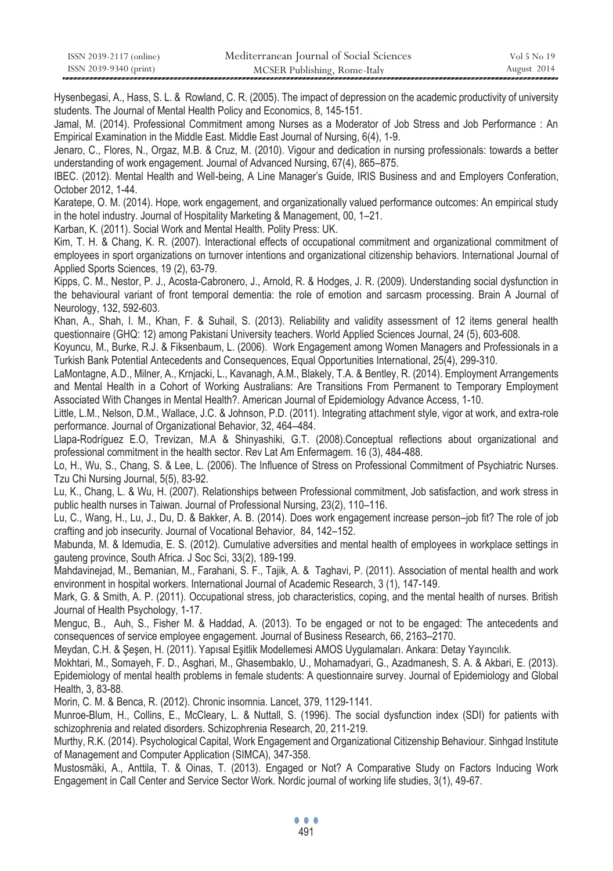| ISSN 2039-2117 (online) | Mediterranean Journal of Social Sciences | Vol 5 No 19 |
|-------------------------|------------------------------------------|-------------|
| ISSN 2039-9340 (print)  | MCSER Publishing, Rome-Italy             | August 2014 |

Hysenbegasi, A., Hass, S. L. & Rowland, C. R. (2005). The impact of depression on the academic productivity of university students. The Journal of Mental Health Policy and Economics, 8, 145-151.

Jamal, M. (2014). Professional Commitment among Nurses as a Moderator of Job Stress and Job Performance : An Empirical Examination in the Middle East. Middle East Journal of Nursing, 6(4), 1-9.

Jenaro, C., Flores, N., Orgaz, M.B. & Cruz, M. (2010). Vigour and dedication in nursing professionals: towards a better understanding of work engagement. Journal of Advanced Nursing, 67(4), 865–875.

IBEC. (2012). Mental Health and Well-being, A Line Manager's Guide, IRIS Business and and Employers Conferation, October 2012, 1-44.

Karatepe, O. M. (2014). Hope, work engagement, and organizationally valued performance outcomes: An empirical study in the hotel industry. Journal of Hospitality Marketing & Management, 00, 1–21.

Karban, K. (2011). Social Work and Mental Health. Polity Press: UK.

Kim, T. H. & Chang, K. R. (2007). Interactional effects of occupational commitment and organizational commitment of employees in sport organizations on turnover intentions and organizational citizenship behaviors. International Journal of Applied Sports Sciences, 19 (2), 63-79.

Kipps, C. M., Nestor, P. J., Acosta-Cabronero, J., Arnold, R. & Hodges, J. R. (2009). Understanding social dysfunction in the behavioural variant of front temporal dementia: the role of emotion and sarcasm processing. Brain A Journal of Neurology, 132, 592-603.

Khan, A., Shah, I. M., Khan, F. & Suhail, S. (2013). Reliability and validity assessment of 12 items general health questionnaire (GHQ: 12) among Pakistani University teachers. World Applied Sciences Journal, 24 (5), 603-608.

Koyuncu, M., Burke, R.J. & Fiksenbaum, L. (2006). Work Engagement among Women Managers and Professionals in a Turkish Bank Potential Antecedents and Consequences, Equal Opportunities International, 25(4), 299-310.

LaMontagne, A.D., Milner, A., Krnjacki, L., Kavanagh, A.M., Blakely, T.A. & Bentley, R. (2014). Employment Arrangements and Mental Health in a Cohort of Working Australians: Are Transitions From Permanent to Temporary Employment Associated With Changes in Mental Health?. American Journal of Epidemiology Advance Access, 1-10.

Little, L.M., Nelson, D.M., Wallace, J.C. & Johnson, P.D. (2011). Integrating attachment style, vigor at work, and extra-role performance. Journal of Organizational Behavior, 32, 464–484.

Llapa-Rodríguez E.O, Trevizan, M.A & Shinyashiki, G.T. (2008).Conceptual reflections about organizational and professional commitment in the health sector. Rev Lat Am Enfermagem. 16 (3), 484-488.

Lo, H., Wu, S., Chang, S. & Lee, L. (2006). The Influence of Stress on Professional Commitment of Psychiatric Nurses. Tzu Chi Nursing Journal, 5(5), 83-92.

Lu, K., Chang, L. & Wu, H. (2007). Relationships between Professional commitment, Job satisfaction, and work stress in public health nurses in Taiwan. Journal of Professional Nursing, 23(2), 110–116.

Lu, C., Wang, H., Lu, J., Du, D. & Bakker, A. B. (2014). Does work engagement increase person–job fit? The role of job crafting and job insecurity. Journal of Vocational Behavior, 84, 142–152.

Mabunda, M. & Idemudia, E. S. (2012). Cumulative adversities and mental health of employees in workplace settings in gauteng province, South Africa. J Soc Sci, 33(2), 189-199.

Mahdavinejad, M., Bemanian, M., Farahani, S. F., Tajik, A. & Taghavi, P. (2011). Association of mental health and work environment in hospital workers. International Journal of Academic Research, 3 (1), 147-149.

Mark, G. & Smith, A. P. (2011). Occupational stress, job characteristics, coping, and the mental health of nurses. British Journal of Health Psychology, 1-17.

Menguc, B., Auh, S., Fisher M. & Haddad, A. (2013). To be engaged or not to be engaged: The antecedents and consequences of service employee engagement. Journal of Business Research, 66, 2163–2170.

Meydan, C.H. & Şeşen, H. (2011). Yapısal Eşitlik Modellemesi AMOS Uygulamaları. Ankara: Detay Yayıncılık.

Mokhtari, M., Somayeh, F. D., Asghari, M., Ghasembaklo, U., Mohamadyari, G., Azadmanesh, S. A. & Akbari, E. (2013). Epidemiology of mental health problems in female students: A questionnaire survey. Journal of Epidemiology and Global Health, 3, 83-88.

Morin, C. M. & Benca, R. (2012). Chronic insomnia. Lancet, 379, 1129-1141.

Munroe-Blum, H., Collins, E., McCleary, L. & Nuttall, S. (1996). The social dysfunction index (SDI) for patients with schizophrenia and related disorders. Schizophrenia Research, 20, 211-219.

Murthy, R.K. (2014). Psychological Capital, Work Engagement and Organizational Citizenship Behaviour. Sinhgad Institute of Management and Computer Application (SIMCA), 347-358.

Mustosmäki, A., Anttila, T. & Oinas, T. (2013). Engaged or Not? A Comparative Study on Factors Inducing Work Engagement in Call Center and Service Sector Work. Nordic journal of working life studies, 3(1), 49-67.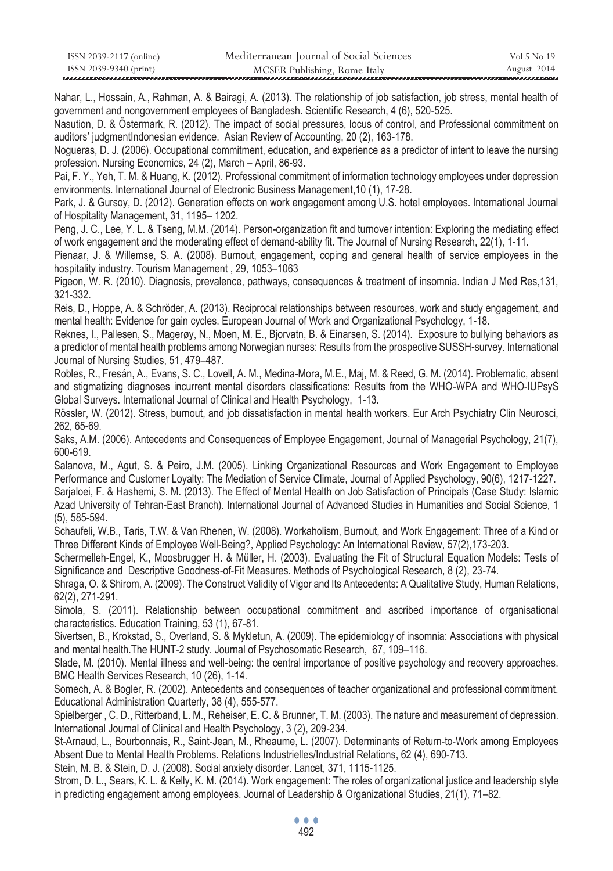| ISSN 2039-2117 (online) | Mediterranean Journal of Social Sciences | Vol 5 No 19 |
|-------------------------|------------------------------------------|-------------|
| ISSN 2039-9340 (print)  | MCSER Publishing, Rome-Italy             | August 2014 |

Nahar, L., Hossain, A., Rahman, A. & Bairagi, A. (2013). The relationship of job satisfaction, job stress, mental health of government and nongovernment employees of Bangladesh. Scientific Research, 4 (6), 520-525.

Nasution, D. & Östermark, R. (2012). The impact of social pressures, locus of control, and Professional commitment on auditors' judgmentIndonesian evidence. Asian Review of Accounting, 20 (2), 163-178.

Nogueras, D. J. (2006). Occupational commitment, education, and experience as a predictor of intent to leave the nursing profession. Nursing Economics, 24 (2), March – April, 86-93.

Pai, F. Y., Yeh, T. M. & Huang, K. (2012). Professional commitment of information technology employees under depression environments. International Journal of Electronic Business Management,10 (1), 17-28.

Park, J. & Gursoy, D. (2012). Generation effects on work engagement among U.S. hotel employees. International Journal of Hospitality Management, 31, 1195– 1202.

Peng, J. C., Lee, Y. L. & Tseng, M.M. (2014). Person-organization fit and turnover intention: Exploring the mediating effect of work engagement and the moderating effect of demand-ability fit. The Journal of Nursing Research, 22(1), 1-11.

Pienaar, J. & Willemse, S. A. (2008). Burnout, engagement, coping and general health of service employees in the hospitality industry. Tourism Management , 29, 1053–1063

Pigeon, W. R. (2010). Diagnosis, prevalence, pathways, consequences & treatment of insomnia. Indian J Med Res,131, 321-332.

Reis, D., Hoppe, A. & Schröder, A. (2013). Reciprocal relationships between resources, work and study engagement, and mental health: Evidence for gain cycles. European Journal of Work and Organizational Psychology, 1-18.

Reknes, I., Pallesen, S., Magerøy, N., Moen, M. E., Bjorvatn, B. & Einarsen, S. (2014). Exposure to bullying behaviors as a predictor of mental health problems among Norwegian nurses: Results from the prospective SUSSH-survey. International Journal of Nursing Studies, 51, 479–487.

Robles, R., Fresán, A., Evans, S. C., Lovell, A. M., Medina-Mora, M.E., Maj, M. & Reed, G. M. (2014). Problematic, absent and stigmatizing diagnoses incurrent mental disorders classifications: Results from the WHO-WPA and WHO-IUPsyS Global Surveys. International Journal of Clinical and Health Psychology, 1-13.

Rössler, W. (2012). Stress, burnout, and job dissatisfaction in mental health workers. Eur Arch Psychiatry Clin Neurosci, 262, 65-69.

Saks, A.M. (2006). Antecedents and Consequences of Employee Engagement, Journal of Managerial Psychology, 21(7), 600-619.

Salanova, M., Agut, S. & Peiro, J.M. (2005). Linking Organizational Resources and Work Engagement to Employee Performance and Customer Loyalty: The Mediation of Service Climate, Journal of Applied Psychology, 90(6), 1217-1227.

Sarjaloei, F. & Hashemi, S. M. (2013). The Effect of Mental Health on Job Satisfaction of Principals (Case Study: Islamic Azad University of Tehran-East Branch). International Journal of Advanced Studies in Humanities and Social Science, 1 (5), 585-594.

Schaufeli, W.B., Taris, T.W. & Van Rhenen, W. (2008). Workaholism, Burnout, and Work Engagement: Three of a Kind or Three Different Kinds of Employee Well-Being?, Applied Psychology: An International Review, 57(2),173-203.

Schermelleh-Engel, K., Moosbrugger H. & Müller, H. (2003). Evaluating the Fit of Structural Equation Models: Tests of Significance and Descriptive Goodness-of-Fit Measures. Methods of Psychological Research, 8 (2), 23-74.

Shraga, O. & Shirom, A. (2009). The Construct Validity of Vigor and Its Antecedents: A Qualitative Study, Human Relations, 62(2), 271-291.

Simola, S. (2011). Relationship between occupational commitment and ascribed importance of organisational characteristics. Education Training, 53 (1), 67-81.

Sivertsen, B., Krokstad, S., Overland, S. & Mykletun, A. (2009). The epidemiology of insomnia: Associations with physical and mental health.The HUNT-2 study. Journal of Psychosomatic Research, 67, 109–116.

Slade, M. (2010). Mental illness and well-being: the central importance of positive psychology and recovery approaches. BMC Health Services Research, 10 (26), 1-14.

Somech, A. & Bogler, R. (2002). Antecedents and consequences of teacher organizational and professional commitment. Educational Administration Quarterly, 38 (4), 555-577.

Spielberger , C. D., Ritterband, L. M., Reheiser, E. C. & Brunner, T. M. (2003). The nature and measurement of depression. International Journal of Clinical and Health Psychology, 3 (2), 209-234.

St-Arnaud, L., Bourbonnais, R., Saint-Jean, M., Rheaume, L. (2007). Determinants of Return-to-Work among Employees Absent Due to Mental Health Problems. Relations Industrielles/Industrial Relations, 62 (4), 690-713.

Stein, M. B. & Stein, D. J. (2008). Social anxiety disorder. Lancet, 371, 1115-1125.

Strom, D. L., Sears, K. L. & Kelly, K. M. (2014). Work engagement: The roles of organizational justice and leadership style in predicting engagement among employees. Journal of Leadership & Organizational Studies, 21(1), 71–82.